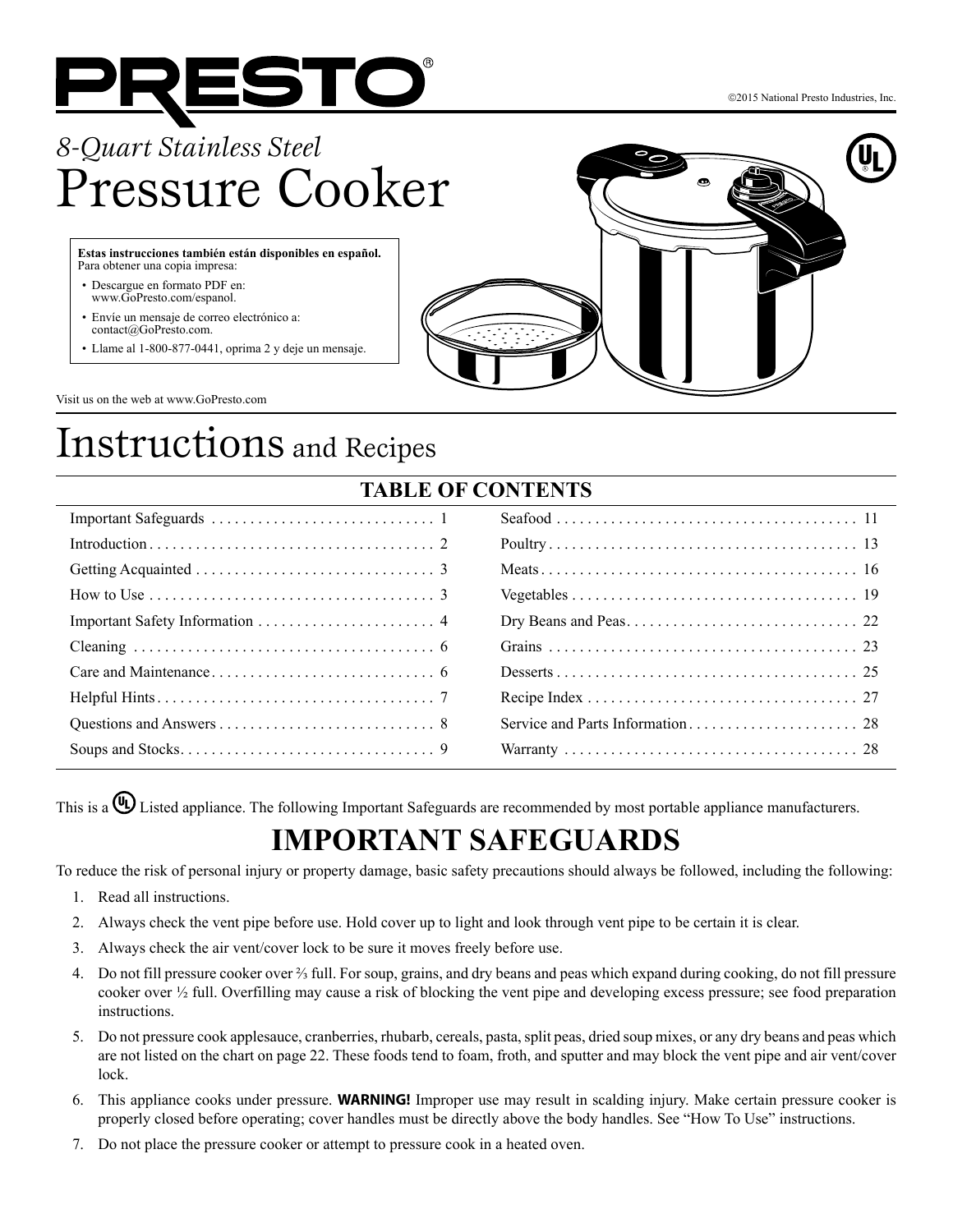

# *8-Quart Stainless Steel*  Pressure Cooker

**Estas instrucciones también están disponibles en español.**  Para obtener una copia impresa:

- Descargue en formato PDF en: www.GoPresto.com/espanol.
- Envíe un mensaje de correo electrónico a: contact@GoPresto.com.
- Llame al 1-800-877-0441, oprima 2 y deje un mensaje.



2015 National Presto Industries, Inc.

Visit us on the web at www.GoPresto.com

# Instructions and Recipes

Soups and Stocks. . . 9

| <b>TABLE OF CONTENTS</b>                                                             |  |  |  |  |
|--------------------------------------------------------------------------------------|--|--|--|--|
|                                                                                      |  |  |  |  |
|                                                                                      |  |  |  |  |
|                                                                                      |  |  |  |  |
| How to Use $\dots \dots \dots \dots \dots \dots \dots \dots \dots \dots \dots \dots$ |  |  |  |  |
|                                                                                      |  |  |  |  |
|                                                                                      |  |  |  |  |
|                                                                                      |  |  |  |  |
|                                                                                      |  |  |  |  |
|                                                                                      |  |  |  |  |

Warranty. . . 28

## **TABLE**

This is a  $\bigoplus$  Listed appliance. The following Important Safeguards are recommended by most portable appliance manufacturers.

## **IMPORTANT SAFEGUARDS**

To reduce the risk of personal injury or property damage, basic safety precautions should always be followed, including the following:

- 1. Read all instructions.
- 2. Always check the vent pipe before use. Hold cover up to light and look through vent pipe to be certain it is clear.
- 3. Always check the air vent/cover lock to be sure it moves freely before use.
- 4. Do not fill pressure cooker over ⅔ full. For soup, grains, and dry beans and peas which expand during cooking, do not fill pressure cooker over ½ full. Overfilling may cause a risk of blocking the vent pipe and developing excess pressure; see food preparation instructions.
- 5. Do not pressure cook applesauce, cranberries, rhubarb, cereals, pasta, split peas, dried soup mixes, or any dry beans and peas which are not listed on the chart on page 22. These foods tend to foam, froth, and sputter and may block the vent pipe and air vent/cover lock.
- 6. This appliance cooks under pressure. **WARNING!** Improper use may result in scalding injury. Make certain pressure cooker is properly closed before operating; cover handles must be directly above the body handles. See "How To Use" instructions.
- 7. Do not place the pressure cooker or attempt to pressure cook in a heated oven.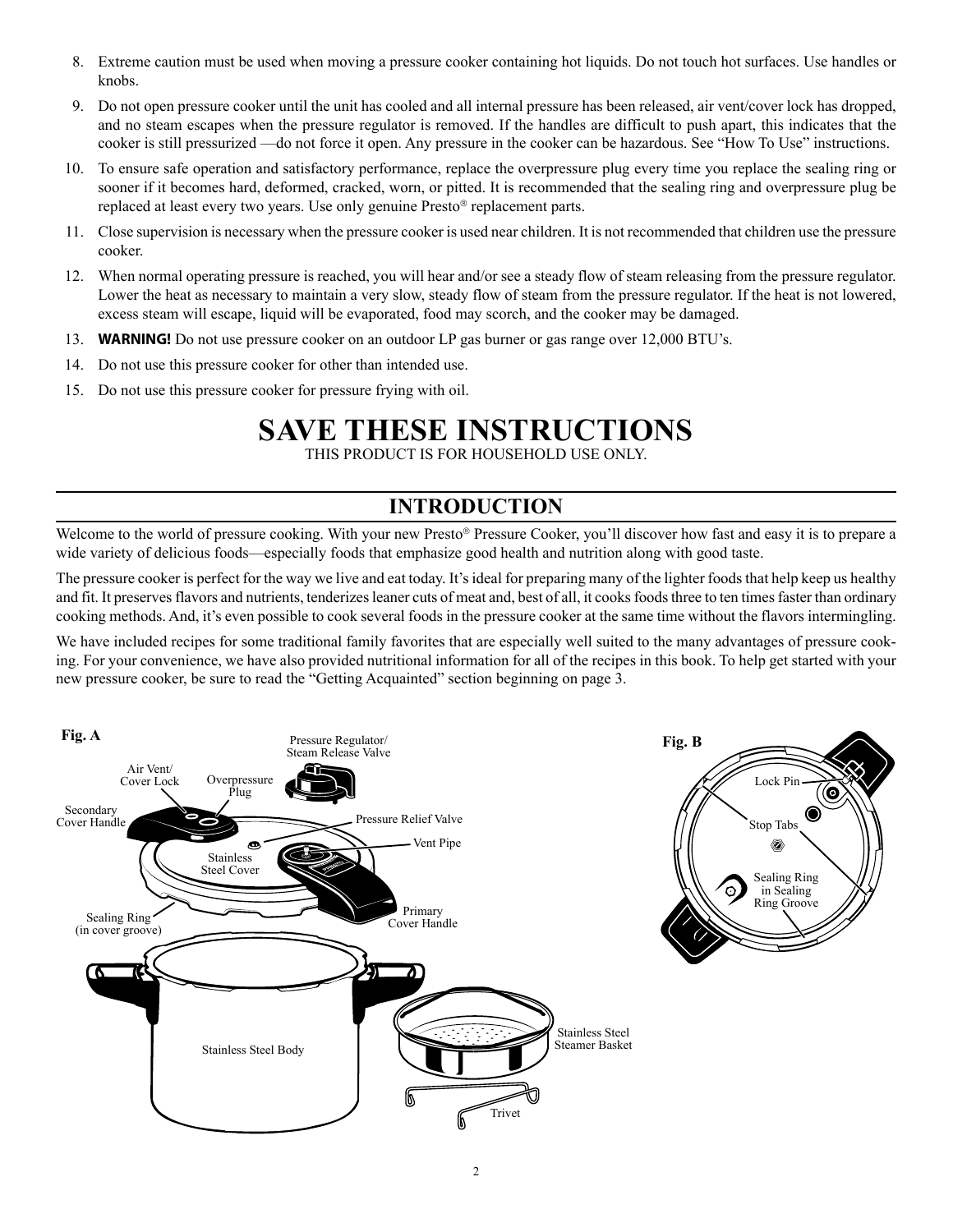- 8. Extreme caution must be used when moving a pressure cooker containing hot liquids. Do not touch hot surfaces. Use handles or knobs.
- 9. Do not open pressure cooker until the unit has cooled and all internal pressure has been released, air vent/cover lock has dropped, and no steam escapes when the pressure regulator is removed. If the handles are difficult to push apart, this indicates that the cooker is still pressurized —do not force it open. Any pressure in the cooker can be hazardous. See "How To Use" instructions.
- 10. To ensure safe operation and satisfactory performance, replace the overpressure plug every time you replace the sealing ring or sooner if it becomes hard, deformed, cracked, worn, or pitted. It is recommended that the sealing ring and overpressure plug be replaced at least every two years. Use only genuine Presto® replacement parts.
- 11. Close supervision is necessary when the pressure cooker is used near children. It is not recommended that children use the pressure cooker.
- 12. When normal operating pressure is reached, you will hear and/or see a steady flow of steam releasing from the pressure regulator. Lower the heat as necessary to maintain a very slow, steady flow of steam from the pressure regulator. If the heat is not lowered, excess steam will escape, liquid will be evaporated, food may scorch, and the cooker may be damaged.
- 13. **WARNING!** Do not use pressure cooker on an outdoor LP gas burner or gas range over 12,000 BTU's.
- 14. Do not use this pressure cooker for other than intended use.
- 15. Do not use this pressure cooker for pressure frying with oil.

## **SAVE THESE INSTRUCTIONS**

THIS PRODUCT IS FOR HOUSEHOLD USE ONLY.

### **INTRODUCTION**

Welcome to the world of pressure cooking. With your new Presto® Pressure Cooker, you'll discover how fast and easy it is to prepare a wide variety of delicious foods—especially foods that emphasize good health and nutrition along with good taste.

The pressure cooker is perfect for the way we live and eat today. It's ideal for preparing many of the lighter foods that help keep us healthy and fit. It preserves flavors and nutrients, tenderizes leaner cuts of meat and, best of all, it cooks foods three to ten times faster than ordinary cooking methods. And, it's even possible to cook several foods in the pressure cooker at the same time without the flavors intermingling.

We have included recipes for some traditional family favorites that are especially well suited to the many advantages of pressure cooking. For your convenience, we have also provided nutritional information for all of the recipes in this book. To help get started with your new pressure cooker, be sure to read the "Getting Acquainted" section beginning on page 3.

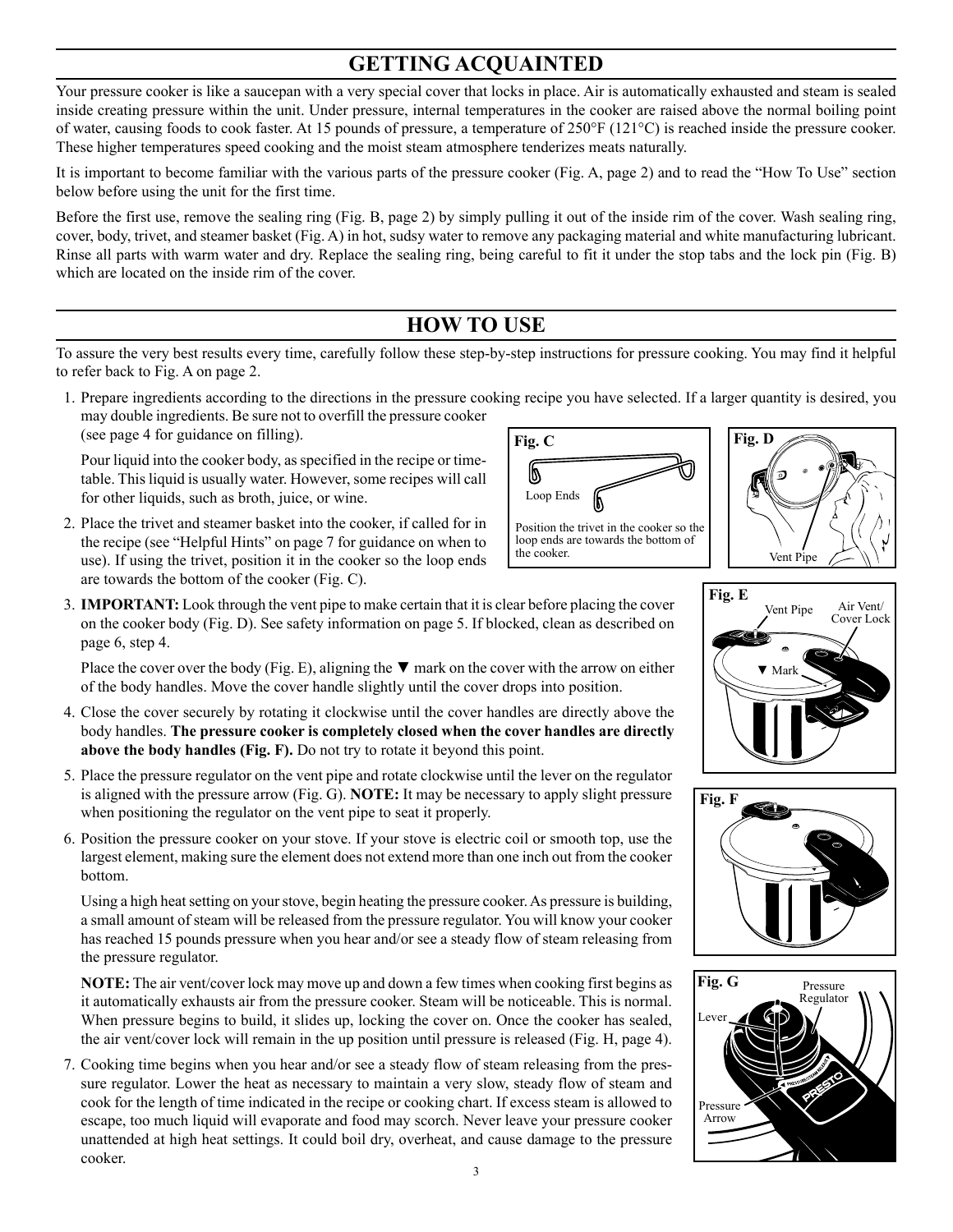### **GETTING ACQUAINTED**

Your pressure cooker is like a saucepan with a very special cover that locks in place. Air is automatically exhausted and steam is sealed inside creating pressure within the unit. Under pressure, internal temperatures in the cooker are raised above the normal boiling point of water, causing foods to cook faster. At 15 pounds of pressure, a temperature of 250°F (121°C) is reached inside the pressure cooker. These higher temperatures speed cooking and the moist steam atmosphere tenderizes meats naturally.

It is important to become familiar with the various parts of the pressure cooker (Fig. A, page 2) and to read the "How To Use" section below before using the unit for the first time.

Before the first use, remove the sealing ring (Fig. B, page 2) by simply pulling it out of the inside rim of the cover. Wash sealing ring, cover, body, trivet, and steamer basket (Fig. A) in hot, sudsy water to remove any packaging material and white manufacturing lubricant. Rinse all parts with warm water and dry. Replace the sealing ring, being careful to fit it under the stop tabs and the lock pin (Fig. B) which are located on the inside rim of the cover.

### **HOW TO USE**

To assure the very best results every time, carefully follow these step-by-step instructions for pressure cooking. You may find it helpful to refer back to Fig. A on page 2.

 1. Prepare ingredients according to the directions in the pressure cooking recipe you have selected. If a larger quantity is desired, you may double ingredients. Be sure not to overfill the pressure cooker (see page 4 for guidance on filling).

Pour liquid into the cooker body, as specified in the recipe or timetable. This liquid is usually water. However, some recipes will call for other liquids, such as broth, juice, or wine.

 2. Place the trivet and steamer basket into the cooker, if called for in the recipe (see "Helpful Hints" on page 7 for guidance on when to use). If using the trivet, position it in the cooker so the loop ends are towards the bottom of the cooker (Fig. C).













- 
- 3. **IMPORTANT:** Look through the vent pipe to make certain that it is clear before placing the cover on the cooker body (Fig. D). See safety information on page 5. If blocked, clean as described on page 6, step 4.

Place the cover over the body (Fig. E), aligning the  $\nabla$  mark on the cover with the arrow on either of the body handles. Move the cover handle slightly until the cover drops into position.

- 4. Close the cover securely by rotating it clockwise until the cover handles are directly above the body handles. **The pressure cooker is completely closed when the cover handles are directly above the body handles (Fig. F).** Do not try to rotate it beyond this point.
- 5. Place the pressure regulator on the vent pipe and rotate clockwise until the lever on the regulator is aligned with the pressure arrow (Fig. G). **NOTE:** It may be necessary to apply slight pressure when positioning the regulator on the vent pipe to seat it properly.
- 6. Position the pressure cooker on your stove. If your stove is electric coil or smooth top, use the largest element, making sure the element does not extend more than one inch out from the cooker bottom.

Using a high heat setting on your stove, begin heating the pressure cooker. As pressure is building, a small amount of steam will be released from the pressure regulator. You will know your cooker has reached 15 pounds pressure when you hear and/or see a steady flow of steam releasing from the pressure regulator.

**NOTE:** The air vent/cover lock may move up and down a few times when cooking first begins as it automatically exhausts air from the pressure cooker. Steam will be noticeable. This is normal. When pressure begins to build, it slides up, locking the cover on. Once the cooker has sealed, the air vent/cover lock will remain in the up position until pressure is released (Fig. H, page 4).

 7. Cooking time begins when you hear and/or see a steady flow of steam releasing from the pressure regulator. Lower the heat as necessary to maintain a very slow, steady flow of steam and cook for the length of time indicated in the recipe or cooking chart. If excess steam is allowed to escape, too much liquid will evaporate and food may scorch. Never leave your pressure cooker unattended at high heat settings. It could boil dry, overheat, and cause damage to the pressure cooker.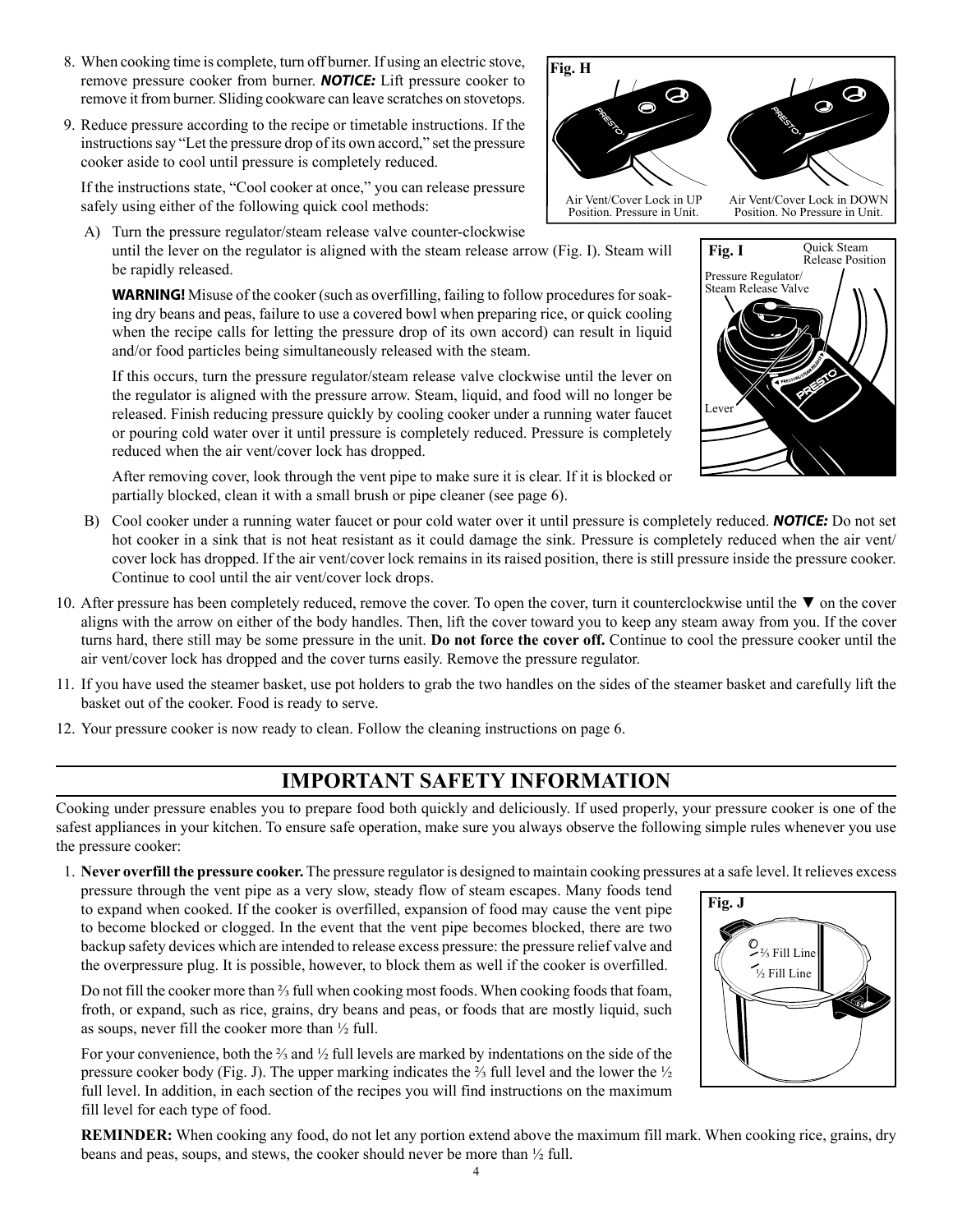and/or food particles being simultaneously released with the steam. If this occurs, turn the pressure regulator/steam release valve clockwise until the lever on

the regulator is aligned with the pressure arrow. Steam, liquid, and food will no longer be released. Finish reducing pressure quickly by cooling cooker under a running water faucet or pouring cold water over it until pressure is completely reduced. Pressure is completely reduced when the air vent/cover lock has dropped.

After removing cover, look through the vent pipe to make sure it is clear. If it is blocked or partially blocked, clean it with a small brush or pipe cleaner (see page 6).

- B) Cool cooker under a running water faucet or pour cold water over it until pressure is completely reduced. *NOTICE:* Do not set hot cooker in a sink that is not heat resistant as it could damage the sink. Pressure is completely reduced when the air vent/ cover lock has dropped. If the air vent/cover lock remains in its raised position, there is still pressure inside the pressure cooker. Continue to cool until the air vent/cover lock drops.
- 10. After pressure has been completely reduced, remove the cover. To open the cover, turn it counterclockwise until the ▼ on the cover aligns with the arrow on either of the body handles. Then, lift the cover toward you to keep any steam away from you. If the cover turns hard, there still may be some pressure in the unit. **Do not force the cover off.** Continue to cool the pressure cooker until the air vent/cover lock has dropped and the cover turns easily. Remove the pressure regulator.
- 11. If you have used the steamer basket, use pot holders to grab the two handles on the sides of the steamer basket and carefully lift the basket out of the cooker. Food is ready to serve.
- 12. Your pressure cooker is now ready to clean. Follow the cleaning instructions on page 6.

### **IMPORTANT SAFETY INFORMATION**

Cooking under pressure enables you to prepare food both quickly and deliciously. If used properly, your pressure cooker is one of the safest appliances in your kitchen. To ensure safe operation, make sure you always observe the following simple rules whenever you use the pressure cooker:

 1. **Never overfill the pressure cooker.** The pressure regulator is designed to maintain cooking pressures at a safe level. It relieves excess pressure through the vent pipe as a very slow, steady flow of steam escapes. Many foods tend to expand when cooked. If the cooker is overfilled, expansion of food may cause the vent pipe to become blocked or clogged. In the event that the vent pipe becomes blocked, there are two **Fig. J**

Do not fill the cooker more than <sup>3</sup>/<sub>3</sub> full when cooking most foods. When cooking foods that foam, froth, or expand, such as rice, grains, dry beans and peas, or foods that are mostly liquid, such as soups, never fill the cooker more than ½ full.

backup safety devices which are intended to release excess pressure: the pressure relief valve and the overpressure plug. It is possible, however, to block them as well if the cooker is overfilled.

 For your convenience, both the ⅔ and ½ full levels are marked by indentations on the side of the pressure cooker body (Fig. J). The upper marking indicates the ⅔ full level and the lower the ½ full level. In addition, in each section of the recipes you will find instructions on the maximum fill level for each type of food.

**REMINDER:** When cooking any food, do not let any portion extend above the maximum fill mark. When cooking rice, grains, dry beans and peas, soups, and stews, the cooker should never be more than ½ full.

 8. When cooking time is complete, turn off burner. If using an electric stove, remove pressure cooker from burner. *NOTICE:* Lift pressure cooker to remove it from burner. Sliding cookware can leave scratches on stovetops. **Fig. H**

 9. Reduce pressure according to the recipe or timetable instructions. If the instructions say "Let the pressure drop of its own accord," set the pressure cooker aside to cool until pressure is completely reduced.

If the instructions state, "Cool cooker at once," you can release pressure safely using either of the following quick cool methods:

A) Turn the pressure regulator/steam release valve counter-clockwise

be rapidly released.







Position. No Pressure in Unit.

Air Vent/Cover Lock in UP Position. Pressure in Unit.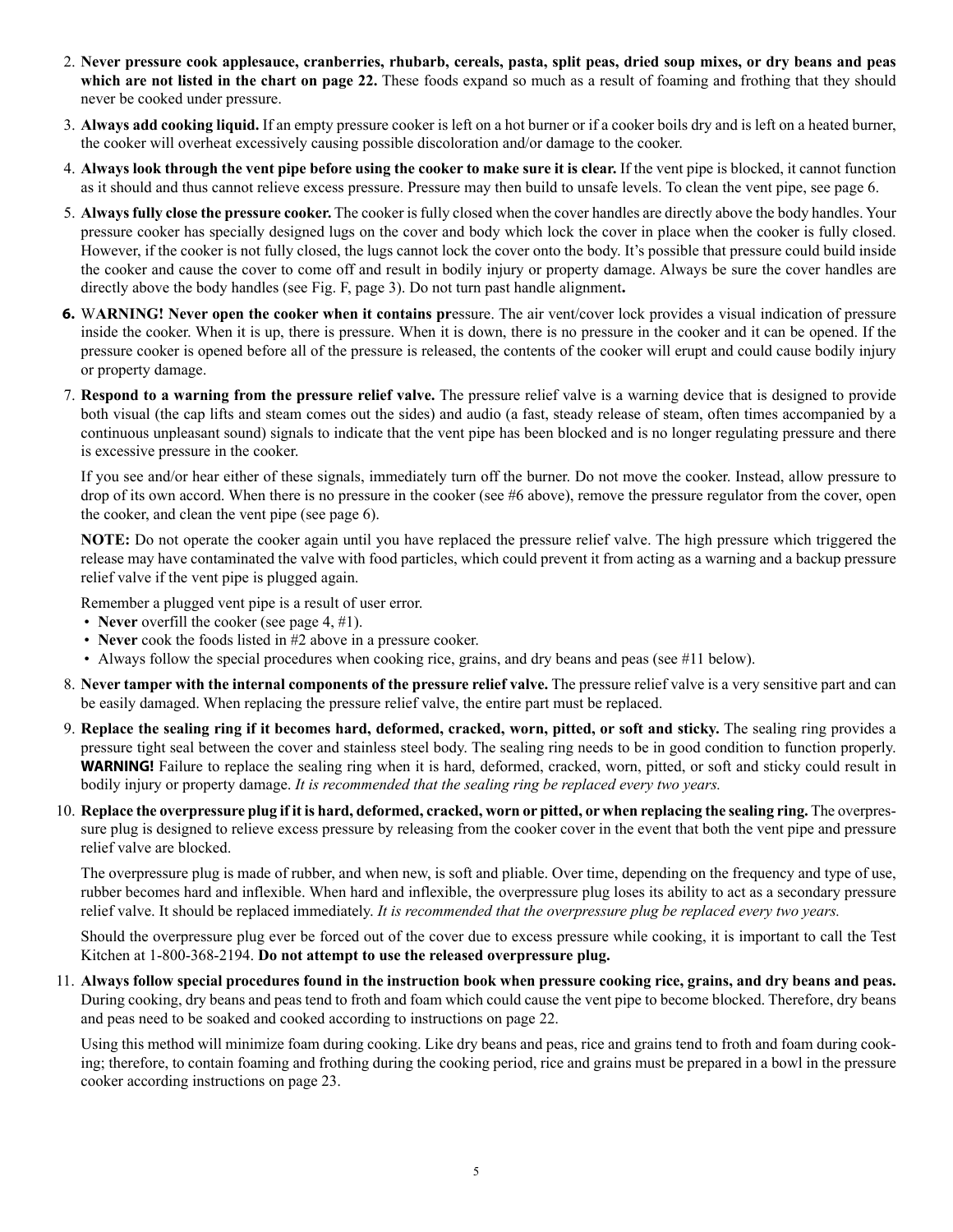- 2. **Never pressure cook applesauce, cranberries, rhubarb, cereals, pasta, split peas, dried soup mixes, or dry beans and peas**  which are not listed in the chart on page 22. These foods expand so much as a result of foaming and frothing that they should never be cooked under pressure.
- 3. **Always add cooking liquid.** If an empty pressure cooker is left on a hot burner or if a cooker boils dry and is left on a heated burner, the cooker will overheat excessively causing possible discoloration and/or damage to the cooker.
- 4. **Always look through the vent pipe before using the cooker to make sure it is clear.** If the vent pipe is blocked, it cannot function as it should and thus cannot relieve excess pressure. Pressure may then build to unsafe levels. To clean the vent pipe, see page 6.
- 5. **Always fully close the pressure cooker.** The cooker is fully closed when the cover handles are directly above the body handles. Your pressure cooker has specially designed lugs on the cover and body which lock the cover in place when the cooker is fully closed. However, if the cooker is not fully closed, the lugs cannot lock the cover onto the body. It's possible that pressure could build inside the cooker and cause the cover to come off and result in bodily injury or property damage. Always be sure the cover handles are directly above the body handles (see Fig. F, page 3). Do not turn past handle alignment**.**
- **6.** W**ARNING! Never open the cooker when it contains pr**essure. The air vent/cover lock provides a visual indication of pressure inside the cooker. When it is up, there is pressure. When it is down, there is no pressure in the cooker and it can be opened. If the pressure cooker is opened before all of the pressure is released, the contents of the cooker will erupt and could cause bodily injury or property damage.
- 7. **Respond to a warning from the pressure relief valve.** The pressure relief valve is a warning device that is designed to provide both visual (the cap lifts and steam comes out the sides) and audio (a fast, steady release of steam, often times accompanied by a continuous unpleasant sound) signals to indicate that the vent pipe has been blocked and is no longer regulating pressure and there is excessive pressure in the cooker.

If you see and/or hear either of these signals, immediately turn off the burner. Do not move the cooker. Instead, allow pressure to drop of its own accord. When there is no pressure in the cooker (see #6 above), remove the pressure regulator from the cover, open the cooker, and clean the vent pipe (see page 6).

**NOTE:** Do not operate the cooker again until you have replaced the pressure relief valve. The high pressure which triggered the release may have contaminated the valve with food particles, which could prevent it from acting as a warning and a backup pressure relief valve if the vent pipe is plugged again.

Remember a plugged vent pipe is a result of user error.

- **Never** overfill the cooker (see page 4, #1).
- **Never** cook the foods listed in #2 above in a pressure cooker.
- Always follow the special procedures when cooking rice, grains, and dry beans and peas (see #11 below).
- 8. **Never tamper with the internal components of the pressure relief valve.** The pressure relief valve is a very sensitive part and can be easily damaged. When replacing the pressure relief valve, the entire part must be replaced.
- 9. **Replace the sealing ring if it becomes hard, deformed, cracked, worn, pitted, or soft and sticky.** The sealing ring provides a pressure tight seal between the cover and stainless steel body. The sealing ring needs to be in good condition to function properly. **WARNING!** Failure to replace the sealing ring when it is hard, deformed, cracked, worn, pitted, or soft and sticky could result in bodily injury or property damage. *It is recommended that the sealing ring be replaced every two years.*
- 10. **Replace the overpressure plug if it is hard, deformed, cracked, worn or pitted, or when replacing the sealing ring.** The overpressure plug is designed to relieve excess pressure by releasing from the cooker cover in the event that both the vent pipe and pressure relief valve are blocked.

The overpressure plug is made of rubber, and when new, is soft and pliable. Over time, depending on the frequency and type of use, rubber becomes hard and inflexible. When hard and inflexible, the overpressure plug loses its ability to act as a secondary pressure relief valve. It should be replaced immediately. *It is recommended that the overpressure plug be replaced every two years.*

Should the overpressure plug ever be forced out of the cover due to excess pressure while cooking, it is important to call the Test Kitchen at 1-800-368-2194. **Do not attempt to use the released overpressure plug.**

11. **Always follow special procedures found in the instruction book when pressure cooking rice, grains, and dry beans and peas.** During cooking, dry beans and peas tend to froth and foam which could cause the vent pipe to become blocked. Therefore, dry beans and peas need to be soaked and cooked according to instructions on page 22.

Using this method will minimize foam during cooking. Like dry beans and peas, rice and grains tend to froth and foam during cooking; therefore, to contain foaming and frothing during the cooking period, rice and grains must be prepared in a bowl in the pressure cooker according instructions on page 23.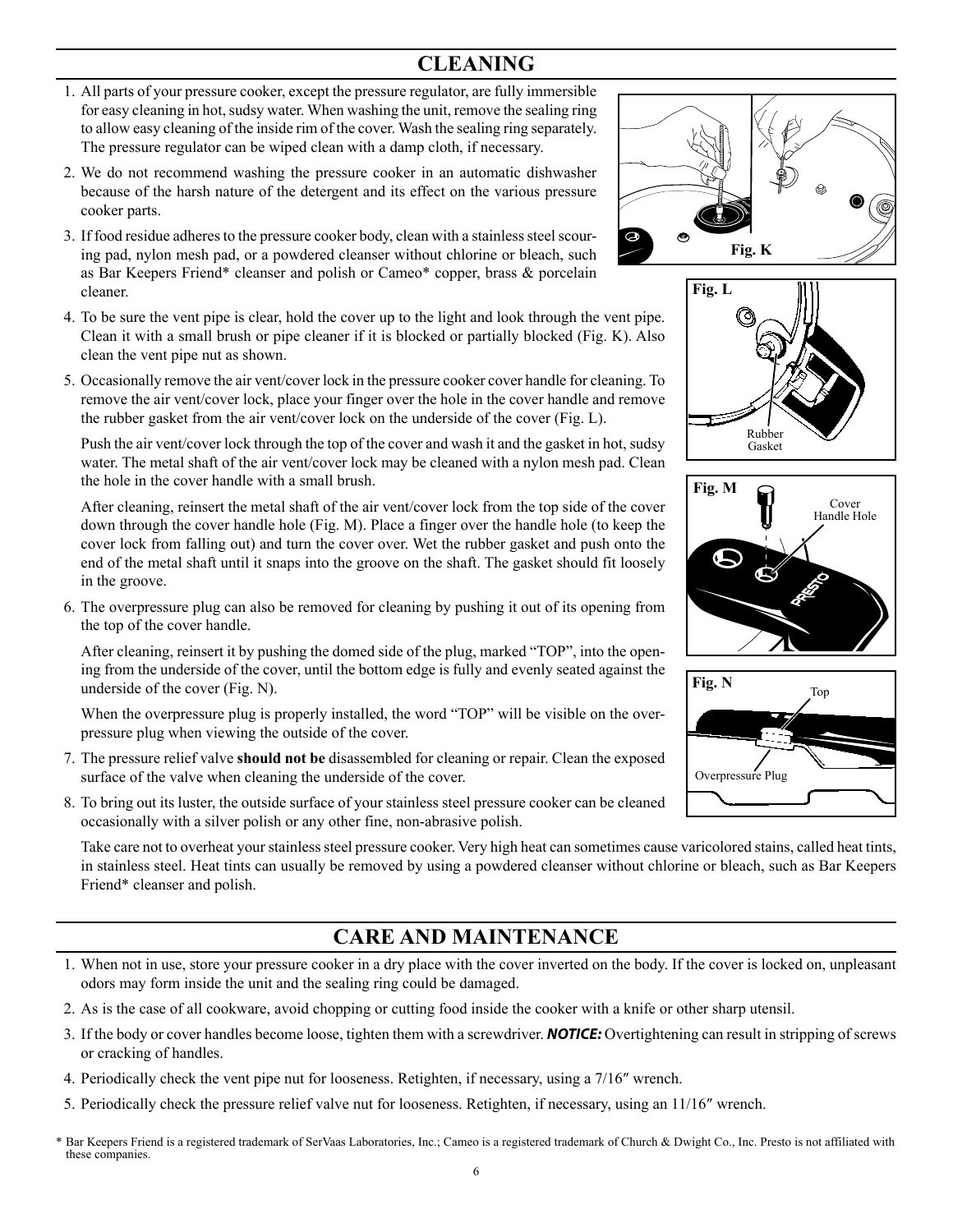### **CLEANING**

- 1. All parts of your pressure cooker, except the pressure regulator, are fully immersible for easy cleaning in hot, sudsy water. When washing the unit, remove the sealing ring to allow easy cleaning of the inside rim of the cover. Wash the sealing ring separately. The pressure regulator can be wiped clean with a damp cloth, if necessary.
- 2. We do not recommend washing the pressure cooker in an automatic dishwasher because of the harsh nature of the detergent and its effect on the various pressure cooker parts.
- 3. If food residue adheres to the pressure cooker body, clean with a stainless steel scouring pad, nylon mesh pad, or a powdered cleanser without chlorine or bleach, such as Bar Keepers Friend\* cleanser and polish or Cameo\* copper, brass & porcelain cleaner.
- 4. To be sure the vent pipe is clear, hold the cover up to the light and look through the vent pipe. Clean it with a small brush or pipe cleaner if it is blocked or partially blocked (Fig. K). Also clean the vent pipe nut as shown.
- 5. Occasionally remove the air vent/cover lock in the pressure cooker cover handle for cleaning. To remove the air vent/cover lock, place your finger over the hole in the cover handle and remove the rubber gasket from the air vent/cover lock on the underside of the cover (Fig. L).

Push the air vent/cover lock through the top of the cover and wash it and the gasket in hot, sudsy water. The metal shaft of the air vent/cover lock may be cleaned with a nylon mesh pad. Clean the hole in the cover handle with a small brush.

After cleaning, reinsert the metal shaft of the air vent/cover lock from the top side of the cover down through the cover handle hole (Fig. M). Place a finger over the handle hole (to keep the cover lock from falling out) and turn the cover over. Wet the rubber gasket and push onto the end of the metal shaft until it snaps into the groove on the shaft. The gasket should fit loosely in the groove.

 6. The overpressure plug can also be removed for cleaning by pushing it out of its opening from the top of the cover handle.

After cleaning, reinsert it by pushing the domed side of the plug, marked "TOP", into the opening from the underside of the cover, until the bottom edge is fully and evenly seated against the underside of the cover (Fig. N).

When the overpressure plug is properly installed, the word "TOP" will be visible on the overpressure plug when viewing the outside of the cover.

- 7. The pressure relief valve **should not be** disassembled for cleaning or repair. Clean the exposed surface of the valve when cleaning the underside of the cover.
- 8. To bring out its luster, the outside surface of your stainless steel pressure cooker can be cleaned occasionally with a silver polish or any other fine, non-abrasive polish.

Take care not to overheat your stainless steel pressure cooker. Very high heat can sometimes cause varicolored stains, called heat tints, in stainless steel. Heat tints can usually be removed by using a powdered cleanser without chlorine or bleach, such as Bar Keepers Friend\* cleanser and polish.

### **CARE AND MAINTENANCE**

- 1. When not in use, store your pressure cooker in a dry place with the cover inverted on the body. If the cover is locked on, unpleasant odors may form inside the unit and the sealing ring could be damaged.
- 2. As is the case of all cookware, avoid chopping or cutting food inside the cooker with a knife or other sharp utensil.
- 3. If the body or cover handles become loose, tighten them with a screwdriver. *NOTICE:* Overtightening can result in stripping of screws or cracking of handles.
- 4. Periodically check the vent pipe nut for looseness. Retighten, if necessary, using a 7/16" wrench.
- 5. Periodically check the pressure relief valve nut for looseness. Retighten, if necessary, using an  $11/16$ <sup>"</sup> wrench.
- 6 \* Bar Keepers Friend is a registered trademark of SerVaas Laboratories, Inc.; Cameo is a registered trademark of Church & Dwight Co., Inc. Presto is not affiliated with these companies.







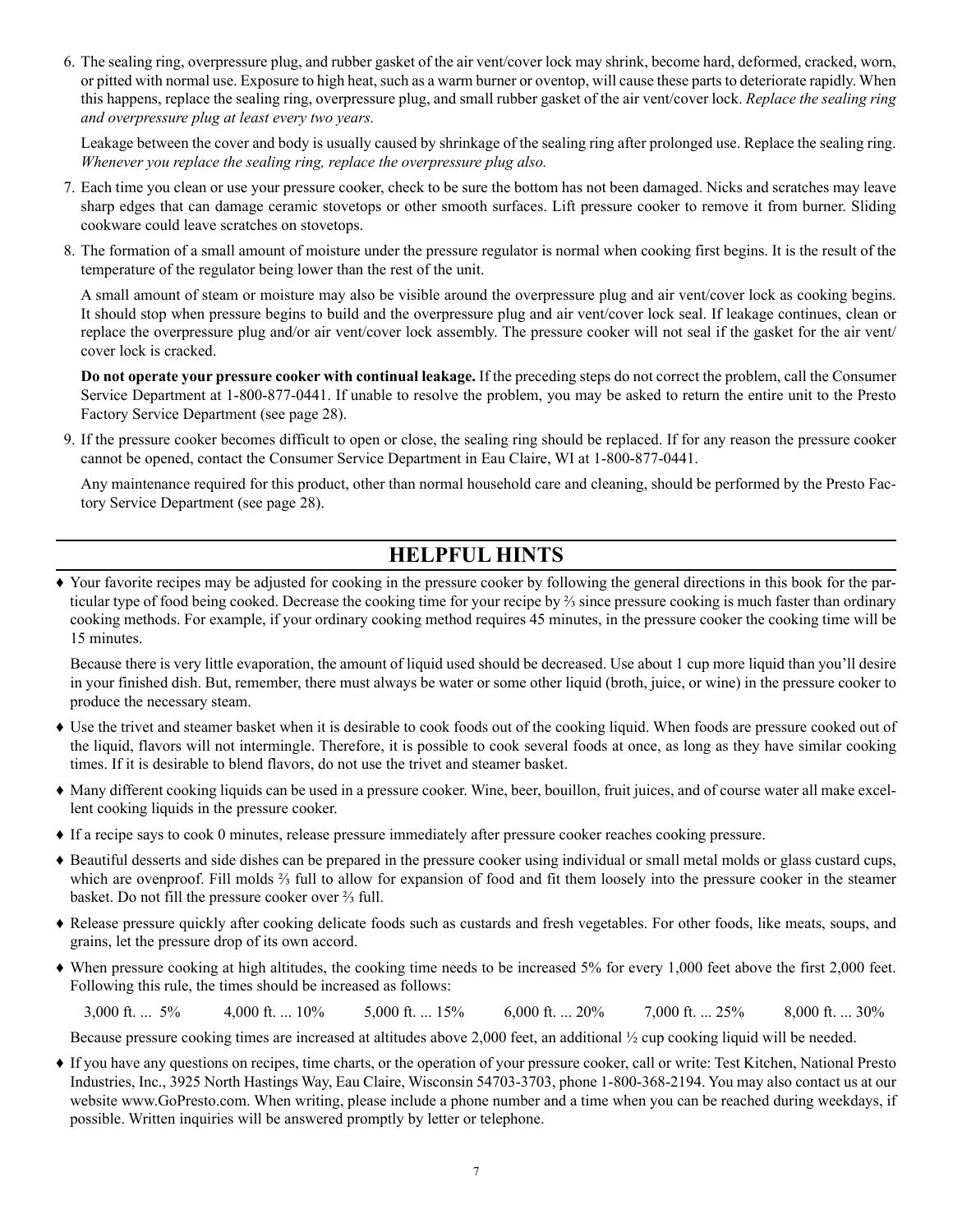6. The sealing ring, overpressure plug, and rubber gasket of the air vent/cover lock may shrink, become hard, deformed, cracked, worn, or pitted with normal use. Exposure to high heat, such as a warm burner or oventop, will cause these parts to deteriorate rapidly. When this happens, replace the sealing ring, overpressure plug, and small rubber gasket of the air vent/cover lock. *Replace the sealing ring and overpressure plug at least every two years.*

Leakage between the cover and body is usually caused by shrinkage of the sealing ring after prolonged use. Replace the sealing ring. *Whenever you replace the sealing ring, replace the overpressure plug also.* 

- 7. Each time you clean or use your pressure cooker, check to be sure the bottom has not been damaged. Nicks and scratches may leave sharp edges that can damage ceramic stovetops or other smooth surfaces. Lift pressure cooker to remove it from burner. Sliding cookware could leave scratches on stovetops.
- 8. The formation of a small amount of moisture under the pressure regulator is normal when cooking first begins. It is the result of the temperature of the regulator being lower than the rest of the unit.

A small amount of steam or moisture may also be visible around the overpressure plug and air vent/cover lock as cooking begins. It should stop when pressure begins to build and the overpressure plug and air vent/cover lock seal. If leakage continues, clean or replace the overpressure plug and/or air vent/cover lock assembly. The pressure cooker will not seal if the gasket for the air vent/ cover lock is cracked.

**Do not operate your pressure cooker with continual leakage.** If the preceding steps do not correct the problem, call the Consumer Service Department at 1-800-877-0441. If unable to resolve the problem, you may be asked to return the entire unit to the Presto Factory Service Department (see page 28).

 9. If the pressure cooker becomes difficult to open or close, the sealing ring should be replaced. If for any reason the pressure cooker cannot be opened, contact the Consumer Service Department in Eau Claire, WI at 1-800-877-0441.

Any maintenance required for this product, other than normal household care and cleaning, should be performed by the Presto Factory Service Department (see page 28).

### **HELPFUL HINTS**

♦ Your favorite recipes may be adjusted for cooking in the pressure cooker by following the general directions in this book for the particular type of food being cooked. Decrease the cooking time for your recipe by ⅔ since pressure cooking is much faster than ordinary cooking methods. For example, if your ordinary cooking method requires 45 minutes, in the pressure cooker the cooking time will be 15 minutes.

Because there is very little evaporation, the amount of liquid used should be decreased. Use about 1 cup more liquid than you'll desire in your finished dish. But, remember, there must always be water or some other liquid (broth, juice, or wine) in the pressure cooker to produce the necessary steam.

- ♦ Use the trivet and steamer basket when it is desirable to cook foods out of the cooking liquid. When foods are pressure cooked out of the liquid, flavors will not intermingle. Therefore, it is possible to cook several foods at once, as long as they have similar cooking times. If it is desirable to blend flavors, do not use the trivet and steamer basket.
- ♦ Many different cooking liquids can be used in a pressure cooker. Wine, beer, bouillon, fruit juices, and of course water all make excellent cooking liquids in the pressure cooker.
- ♦ If a recipe says to cook 0 minutes, release pressure immediately after pressure cooker reaches cooking pressure.
- ♦ Beautiful desserts and side dishes can be prepared in the pressure cooker using individual or small metal molds or glass custard cups, which are ovenproof. Fill molds ⅔ full to allow for expansion of food and fit them loosely into the pressure cooker in the steamer basket. Do not fill the pressure cooker over ⅔ full.
- ♦ Release pressure quickly after cooking delicate foods such as custards and fresh vegetables. For other foods, like meats, soups, and grains, let the pressure drop of its own accord.
- ♦ When pressure cooking at high altitudes, the cooking time needs to be increased 5% for every 1,000 feet above the first 2,000 feet. Following this rule, the times should be increased as follows:

3,000 ft. ... 5% 4,000 ft. ... 10% 5,000 ft. ... 15% 6,000 ft. ... 20% 7,000 ft. ... 25% 8,000 ft. ... 30%

Because pressure cooking times are increased at altitudes above 2,000 feet, an additional ½ cup cooking liquid will be needed.

♦ If you have any questions on recipes, time charts, or the operation of your pressure cooker, call or write: Test Kitchen, National Presto Industries, Inc., 3925 North Hastings Way, Eau Claire, Wisconsin 54703-3703, phone 1-800-368-2194. You may also contact us at our website www.GoPresto.com. When writing, please include a phone number and a time when you can be reached during weekdays, if possible. Written inquiries will be answered promptly by letter or telephone.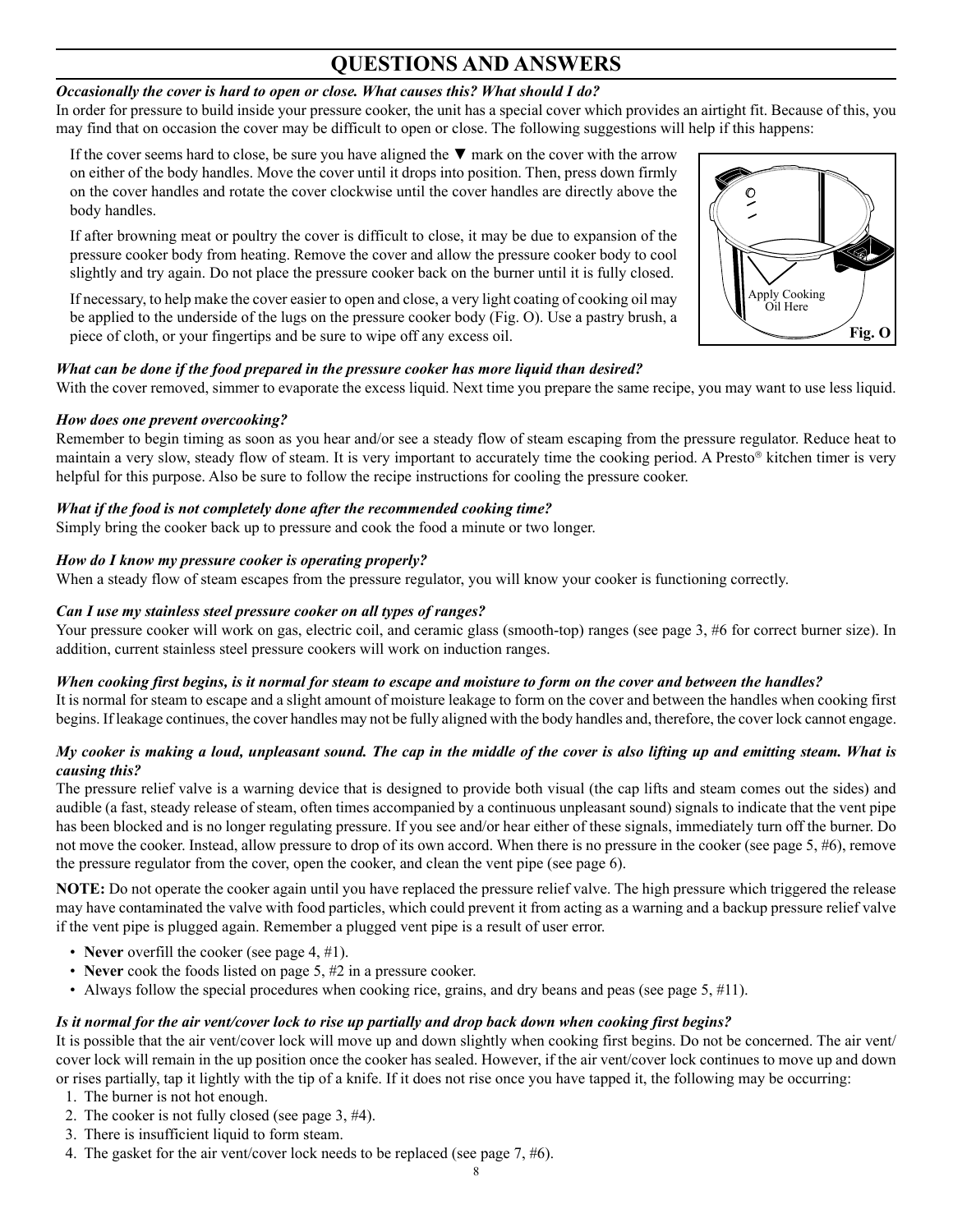### **QUESTIONS AND ANSWERS**

#### *Occasionally the cover is hard to open or close. What causes this? What should I do?*

In order for pressure to build inside your pressure cooker, the unit has a special cover which provides an airtight fit. Because of this, you may find that on occasion the cover may be difficult to open or close. The following suggestions will help if this happens:

If the cover seems hard to close, be sure you have aligned the  $\Psi$  mark on the cover with the arrow on either of the body handles. Move the cover until it drops into position. Then, press down firmly on the cover handles and rotate the cover clockwise until the cover handles are directly above the body handles.

If after browning meat or poultry the cover is difficult to close, it may be due to expansion of the pressure cooker body from heating. Remove the cover and allow the pressure cooker body to cool slightly and try again. Do not place the pressure cooker back on the burner until it is fully closed.

If necessary, to help make the cover easier to open and close, a very light coating of cooking oil may be applied to the underside of the lugs on the pressure cooker body (Fig. O). Use a pastry brush, a piece of cloth, or your fingertips and be sure to wipe off any excess oil.

#### *What can be done if the food prepared in the pressure cooker has more liquid than desired?*

With the cover removed, simmer to evaporate the excess liquid. Next time you prepare the same recipe, you may want to use less liquid.

#### *How does one prevent overcooking?*

Remember to begin timing as soon as you hear and/or see a steady flow of steam escaping from the pressure regulator. Reduce heat to maintain a very slow, steady flow of steam. It is very important to accurately time the cooking period. A Presto® kitchen timer is very helpful for this purpose. Also be sure to follow the recipe instructions for cooling the pressure cooker.

#### *What if the food is not completely done after the recommended cooking time?*

Simply bring the cooker back up to pressure and cook the food a minute or two longer.

#### *How do I know my pressure cooker is operating properly?*

When a steady flow of steam escapes from the pressure regulator, you will know your cooker is functioning correctly.

#### *Can I use my stainless steel pressure cooker on all types of ranges?*

Your pressure cooker will work on gas, electric coil, and ceramic glass (smooth-top) ranges (see page 3, #6 for correct burner size). In addition, current stainless steel pressure cookers will work on induction ranges.

#### *When cooking first begins, is it normal for steam to escape and moisture to form on the cover and between the handles?*

It is normal for steam to escape and a slight amount of moisture leakage to form on the cover and between the handles when cooking first begins. If leakage continues, the cover handles may not be fully aligned with the body handles and, therefore, the cover lock cannot engage.

#### *My cooker is making a loud, unpleasant sound. The cap in the middle of the cover is also lifting up and emitting steam. What is causing this?*

The pressure relief valve is a warning device that is designed to provide both visual (the cap lifts and steam comes out the sides) and audible (a fast, steady release of steam, often times accompanied by a continuous unpleasant sound) signals to indicate that the vent pipe has been blocked and is no longer regulating pressure. If you see and/or hear either of these signals, immediately turn off the burner. Do not move the cooker. Instead, allow pressure to drop of its own accord. When there is no pressure in the cooker (see page 5, #6), remove the pressure regulator from the cover, open the cooker, and clean the vent pipe (see page 6).

**NOTE:** Do not operate the cooker again until you have replaced the pressure relief valve. The high pressure which triggered the release may have contaminated the valve with food particles, which could prevent it from acting as a warning and a backup pressure relief valve if the vent pipe is plugged again. Remember a plugged vent pipe is a result of user error.

- **Never** overfill the cooker (see page 4, #1).
- **Never** cook the foods listed on page 5, #2 in a pressure cooker.
- Always follow the special procedures when cooking rice, grains, and dry beans and peas (see page 5, #11).

#### *Is it normal for the air vent/cover lock to rise up partially and drop back down when cooking first begins?*

It is possible that the air vent/cover lock will move up and down slightly when cooking first begins. Do not be concerned. The air vent/ cover lock will remain in the up position once the cooker has sealed. However, if the air vent/cover lock continues to move up and down or rises partially, tap it lightly with the tip of a knife. If it does not rise once you have tapped it, the following may be occurring:

- 1. The burner is not hot enough.
- 2. The cooker is not fully closed (see page 3, #4).
- 3. There is insufficient liquid to form steam.
- 4. The gasket for the air vent/cover lock needs to be replaced (see page 7, #6).

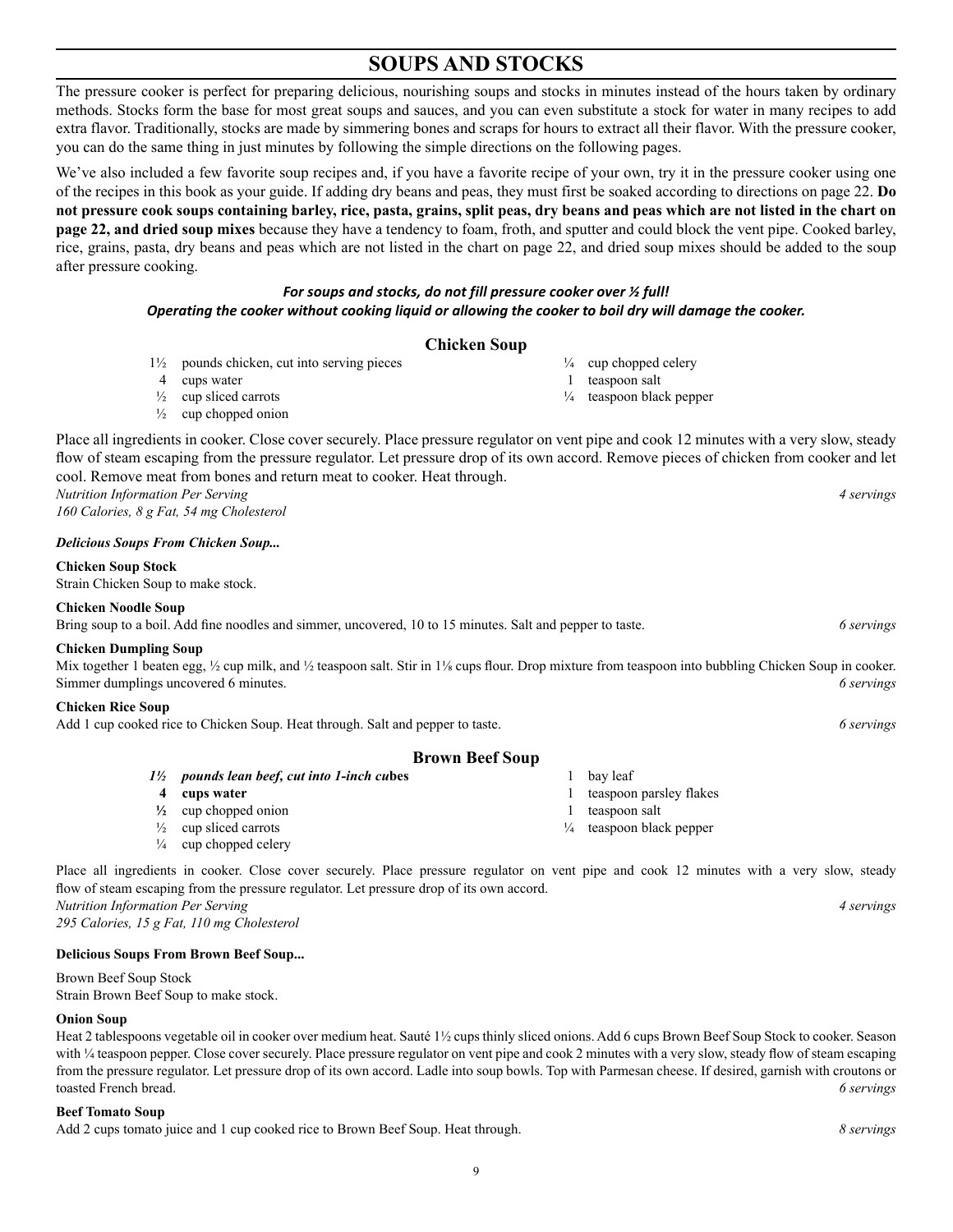9

### **SOUPS AND STOCKS**

The pressure cooker is perfect for preparing delicious, nourishing soups and stocks in minutes instead of the hours taken by ordinary methods. Stocks form the base for most great soups and sauces, and you can even substitute a stock for water in many recipes to add extra flavor. Traditionally, stocks are made by simmering bones and scraps for hours to extract all their flavor. With the pressure cooker, you can do the same thing in just minutes by following the simple directions on the following pages.

We've also included a few favorite soup recipes and, if you have a favorite recipe of your own, try it in the pressure cooker using one of the recipes in this book as your guide. If adding dry beans and peas, they must first be soaked according to directions on page 22. **Do not pressure cook soups containing barley, rice, pasta, grains, split peas, dry beans and peas which are not listed in the chart on page 22, and dried soup mixes** because they have a tendency to foam, froth, and sputter and could block the vent pipe. Cooked barley, rice, grains, pasta, dry beans and peas which are not listed in the chart on page 22, and dried soup mixes should be added to the soup after pressure cooking.

#### *For soups and stocks, do not fill pressure cooker over ½ full! Operating the cooker without cooking liquid or allowing the cooker to boil dry will damage the cooker.*

#### **Chicken Soup**

- 1½ pounds chicken, cut into serving pieces
- 4 cups water
- $\frac{1}{2}$  cup sliced carrots
- $\frac{1}{2}$  cup chopped onion

Place all ingredients in cooker. Close cover securely. Place pressure regulator on vent pipe and cook 12 minutes with a very slow, steady flow of steam escaping from the pressure regulator. Let pressure drop of its own accord. Remove pieces of chicken from cooker and let cool. Remove meat from bones and return meat to cooker. Heat through.

*Nutrition Information Per Serving 4 servings 160 Calories, 8 g Fat, 54 mg Cholesterol*

#### *Delicious Soups From Chicken Soup...*

**Chicken Soup Stock**

Strain Chicken Soup to make stock.

#### **Chicken Noodle Soup**

Bring soup to a boil. Add fine noodles and simmer, uncovered, 10 to 15 minutes. Salt and pepper to taste. *6 servings*

#### **Chicken Dumpling Soup**

Mix together 1 beaten egg,  $\frac{1}{2}$  cup milk, and  $\frac{1}{2}$  teaspoon salt. Stir in 1% cups flour. Drop mixture from teaspoon into bubbling Chicken Soup in cooker. Simmer dumplings uncovered 6 minutes. *6 servings*

#### **Chicken Rice Soup**

Add 1 cup cooked rice to Chicken Soup. Heat through. Salt and pepper to taste. *6 servings*

#### **Brown Beef Soup**

- *1½ pounds lean beef, cut into 1-inch cu***bes**
- **4 cups water**
- **½** cup chopped onion
- $\frac{1}{2}$  cup sliced carrots  $\frac{1}{4}$  cup chopped celery

Place all ingredients in cooker. Close cover securely. Place pressure regulator on vent pipe and cook 12 minutes with a very slow, steady flow of steam escaping from the pressure regulator. Let pressure drop of its own accord. *Nutrition Information Per Serving 4 servings*

*295 Calories, 15 g Fat, 110 mg Cholesterol*

#### **Delicious Soups From Brown Beef Soup...**

Brown Beef Soup Stock Strain Brown Beef Soup to make stock.

#### **Onion Soup**

Heat 2 tablespoons vegetable oil in cooker over medium heat. Sauté 1½ cups thinly sliced onions. Add 6 cups Brown Beef Soup Stock to cooker. Season with ¼ teaspoon pepper. Close cover securely. Place pressure regulator on vent pipe and cook 2 minutes with a very slow, steady flow of steam escaping from the pressure regulator. Let pressure drop of its own accord. Ladle into soup bowls. Top with Parmesan cheese. If desired, garnish with croutons or toasted French bread. *6 servings*

#### **Beef Tomato Soup**

Add 2 cups tomato juice and 1 cup cooked rice to Brown Beef Soup. Heat through. *8 servings*

- $\frac{1}{4}$  cup chopped celery
- 1 teaspoon salt
- ¼ teaspoon black pepper

- 1 bay leaf
- 1 teaspoon parsley flakes
- 1 teaspoon salt
- ¼ teaspoon black pepper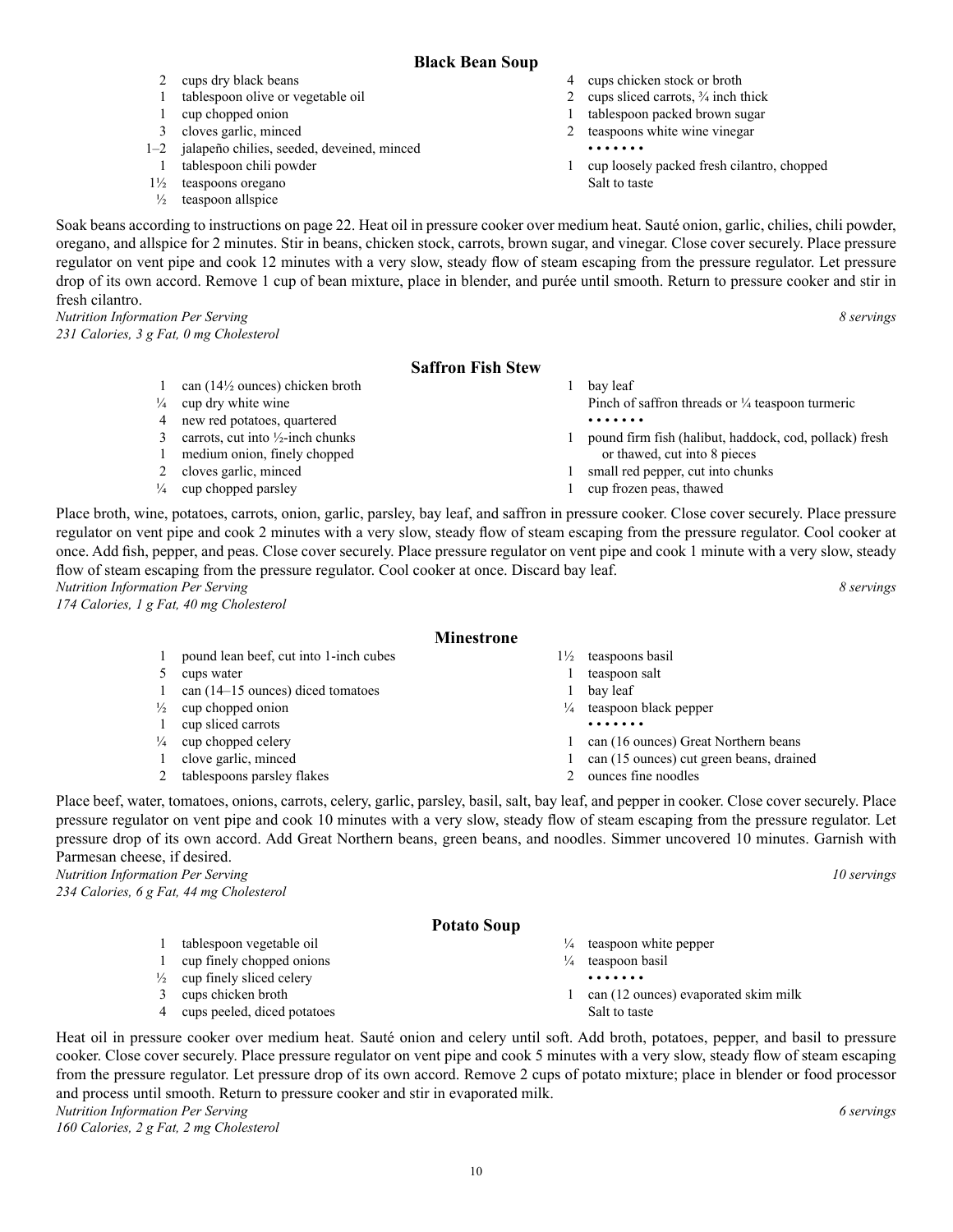#### **Black Bean Soup**

- 4 cups chicken stock or broth
	- 2 cups sliced carrots,  $\frac{3}{4}$  inch thick
	- 1 tablespoon packed brown sugar
	- 2 teaspoons white wine vinegar
		- • • • •
	- 1 cup loosely packed fresh cilantro, chopped Salt to taste

Soak beans according to instructions on page 22. Heat oil in pressure cooker over medium heat. Sauté onion, garlic, chilies, chili powder, oregano, and allspice for 2 minutes. Stir in beans, chicken stock, carrots, brown sugar, and vinegar. Close cover securely. Place pressure regulator on vent pipe and cook 12 minutes with a very slow, steady flow of steam escaping from the pressure regulator. Let pressure drop of its own accord. Remove 1 cup of bean mixture, place in blender, and purée until smooth. Return to pressure cooker and stir in fresh cilantro.

*Nutrition Information Per Serving 8 servings 231 Calories, 3 g Fat, 0 mg Cholesterol*

2 cups dry black beans

1 cup chopped onion 3 cloves garlic, minced

1 tablespoon chili powder 1½ teaspoons oregano  $\frac{1}{2}$  teaspoon allspice

1 tablespoon olive or vegetable oil

1–2 jalapeño chilies, seeded, deveined, minced

#### **Saffron Fish Stew**

|               | $54111$ VII 1.1511 $500$ W                   |                                                             |
|---------------|----------------------------------------------|-------------------------------------------------------------|
|               | can $(14\frac{1}{2})$ ounces) chicken broth  | bay leaf                                                    |
| $\frac{1}{4}$ | cup dry white wine                           | Pinch of saffron threads or $\frac{1}{4}$ teaspoon turmeric |
| 4             | new red potatoes, quartered                  | .                                                           |
| 3             | carrots, cut into $\frac{1}{2}$ -inch chunks | pound firm fish (halibut, haddock, cod, pollack) fresh      |
|               | medium onion, finely chopped                 | or thawed, cut into 8 pieces                                |
|               | cloves garlic, minced                        | small red pepper, cut into chunks                           |
| $\frac{1}{4}$ | cup chopped parsley                          | cup frozen peas, thawed                                     |

Place broth, wine, potatoes, carrots, onion, garlic, parsley, bay leaf, and saffron in pressure cooker. Close cover securely. Place pressure regulator on vent pipe and cook 2 minutes with a very slow, steady flow of steam escaping from the pressure regulator. Cool cooker at once. Add fish, pepper, and peas. Close cover securely. Place pressure regulator on vent pipe and cook 1 minute with a very slow, steady flow of steam escaping from the pressure regulator. Cool cooker at once. Discard bay leaf. *Nutrition Information Per Serving 8 servings* 

*174 Calories, 1 g Fat, 40 mg Cholesterol*

- 1 pound lean beef, cut into 1-inch cubes
- 5 cups water
- 1 can (14–15 ounces) diced tomatoes
- $\frac{1}{2}$  cup chopped onion
- 1 cup sliced carrots
- $\frac{1}{4}$  cup chopped celery
- 1 clove garlic, minced
- 2 tablespoons parsley flakes
- Place beef, water, tomatoes, onions, carrots, celery, garlic, parsley, basil, salt, bay leaf, and pepper in cooker. Close cover securely. Place pressure regulator on vent pipe and cook 10 minutes with a very slow, steady flow of steam escaping from the pressure regulator. Let pressure drop of its own accord. Add Great Northern beans, green beans, and noodles. Simmer uncovered 10 minutes. Garnish with Parmesan cheese, if desired.

*Nutrition Information Per Serving 10 servings 234 Calories, 6 g Fat, 44 mg Cholesterol*

#### **Potato Soup**

- 1 tablespoon vegetable oil 1 cup finely chopped onions
- $\frac{1}{2}$  cup finely sliced celery
- 3 cups chicken broth
- 4 cups peeled, diced potatoes
- Heat oil in pressure cooker over medium heat. Sauté onion and celery until soft. Add broth, potatoes, pepper, and basil to pressure cooker. Close cover securely. Place pressure regulator on vent pipe and cook 5 minutes with a very slow, steady flow of steam escaping from the pressure regulator. Let pressure drop of its own accord. Remove 2 cups of potato mixture; place in blender or food processor and process until smooth. Return to pressure cooker and stir in evaporated milk.

*Nutrition Information Per Serving 6 servings* 

*160 Calories, 2 g Fat, 2 mg Cholesterol*

- 1½ teaspoons basil
- 1 teaspoon salt
- 1 bay leaf
- ¼ teaspoon black pepper
- 1 can (16 ounces) Great Northern beans
- 1 can (15 ounces) cut green beans, drained
- 2 ounces fine noodles

- $\frac{1}{4}$  teaspoon white pepper
	-
- Salt to taste
- 
- 
- $\frac{1}{4}$  teaspoon basil
	- • • • •
- 1 can (12 ounces) evaporated skim milk

• • • • • • •

**Minestrone**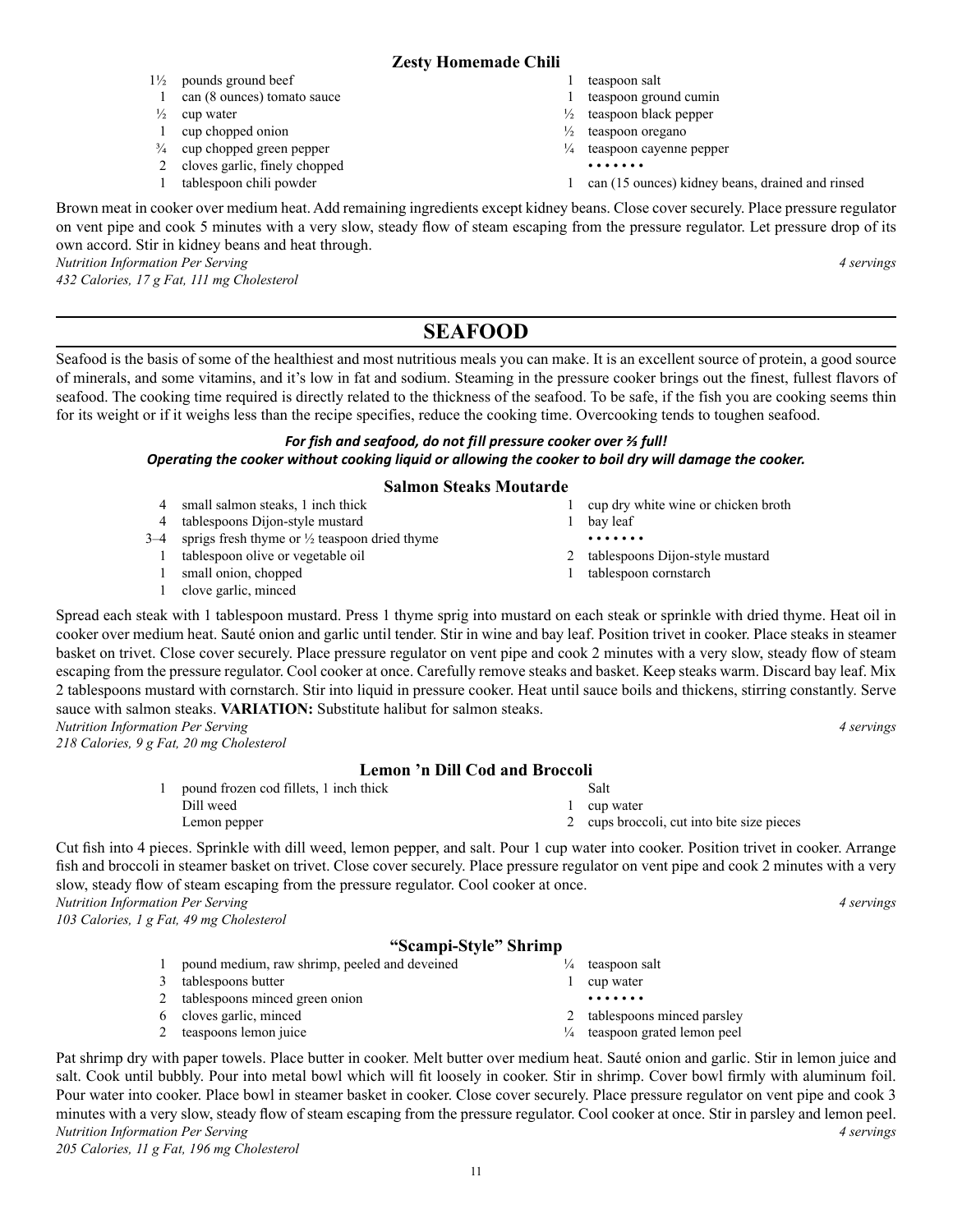#### **Zesty Homemade Chili**

- 1 teaspoon salt
- 1 teaspoon ground cumin
- $\frac{1}{2}$  teaspoon black pepper
- $\frac{1}{2}$  teaspoon oregano
- $\frac{1}{4}$  teaspoon cayenne pepper
	- • • • •
- 1 can (15 ounces) kidney beans, drained and rinsed

Brown meat in cooker over medium heat. Add remaining ingredients except kidney beans. Close cover securely. Place pressure regulator on vent pipe and cook 5 minutes with a very slow, steady flow of steam escaping from the pressure regulator. Let pressure drop of its own accord. Stir in kidney beans and heat through.

*Nutrition Information Per Serving 4 servings* 

*432 Calories, 17 g Fat, 111 mg Cholesterol*

1½ pounds ground beef

1 cup chopped onion ¾ cup chopped green pepper 2 cloves garlic, finely chopped 1 tablespoon chili powder

 $\frac{1}{2}$  cup water

1 can (8 ounces) tomato sauce

### **SEAFOOD**

Seafood is the basis of some of the healthiest and most nutritious meals you can make. It is an excellent source of protein, a good source of minerals, and some vitamins, and it's low in fat and sodium. Steaming in the pressure cooker brings out the finest, fullest flavors of seafood. The cooking time required is directly related to the thickness of the seafood. To be safe, if the fish you are cooking seems thin for its weight or if it weighs less than the recipe specifies, reduce the cooking time. Overcooking tends to toughen seafood.

#### *For fish and seafood, do not fill pressure cooker over ⅔ full! Operating the cooker without cooking liquid or allowing the cooker to boil dry will damage the cooker.*

#### **Salmon Steaks Moutarde**

|         | small salmon steaks, 1 inch thick                        | cup dry white wine or chicken broth |
|---------|----------------------------------------------------------|-------------------------------------|
|         | tablespoons Dijon-style mustard                          | bay leaf                            |
| $3 - 4$ | sprigs fresh thyme or $\frac{1}{2}$ teaspoon dried thyme | .                                   |
|         | tablespoon olive or vegetable oil                        | 2 tablespoons Dijon-style mustard   |
|         | small onion, chopped                                     | tablespoon cornstarch               |
|         | clove garlic, minced                                     |                                     |

Spread each steak with 1 tablespoon mustard. Press 1 thyme sprig into mustard on each steak or sprinkle with dried thyme. Heat oil in cooker over medium heat. Sauté onion and garlic until tender. Stir in wine and bay leaf. Position trivet in cooker. Place steaks in steamer basket on trivet. Close cover securely. Place pressure regulator on vent pipe and cook 2 minutes with a very slow, steady flow of steam escaping from the pressure regulator. Cool cooker at once. Carefully remove steaks and basket. Keep steaks warm. Discard bay leaf. Mix 2 tablespoons mustard with cornstarch. Stir into liquid in pressure cooker. Heat until sauce boils and thickens, stirring constantly. Serve sauce with salmon steaks. **VARIATION:** Substitute halibut for salmon steaks.

*Nutrition Information Per Serving 4 servings 218 Calories, 9 g Fat, 20 mg Cholesterol*

#### **Lemon 'n Dill Cod and Broccoli**

| pound frozen cod fillets, 1 inch thick | Salt                                       |
|----------------------------------------|--------------------------------------------|
| Dill weed                              | 1 cup water                                |
| Lemon pepper                           | 2 cups broccoli, cut into bite size pieces |

Cut fish into 4 pieces. Sprinkle with dill weed, lemon pepper, and salt. Pour 1 cup water into cooker. Position trivet in cooker. Arrange fish and broccoli in steamer basket on trivet. Close cover securely. Place pressure regulator on vent pipe and cook 2 minutes with a very slow, steady flow of steam escaping from the pressure regulator. Cool cooker at once.

*Nutrition Information Per Serving 4 servings 103 Calories, 1 g Fat, 49 mg Cholesterol*

#### **"Scampi-Style" Shrimp**

1 pound medium, raw shrimp, peeled and deveined 3 tablespoons butter 2 tablespoons minced green onion 6 cloves garlic, minced 2 teaspoons lemon juice  $\frac{1}{4}$  teaspoon salt 1 cup water • • • • • • • 2 tablespoons minced parsley ¼ teaspoon grated lemon peel

Pat shrimp dry with paper towels. Place butter in cooker. Melt butter over medium heat. Sauté onion and garlic. Stir in lemon juice and salt. Cook until bubbly. Pour into metal bowl which will fit loosely in cooker. Stir in shrimp. Cover bowl firmly with aluminum foil. Pour water into cooker. Place bowl in steamer basket in cooker. Close cover securely. Place pressure regulator on vent pipe and cook 3 minutes with a very slow, steady flow of steam escaping from the pressure regulator. Cool cooker at once. Stir in parsley and lemon peel. *Nutrition Information Per Serving 4 servings 205 Calories, 11 g Fat, 196 mg Cholesterol*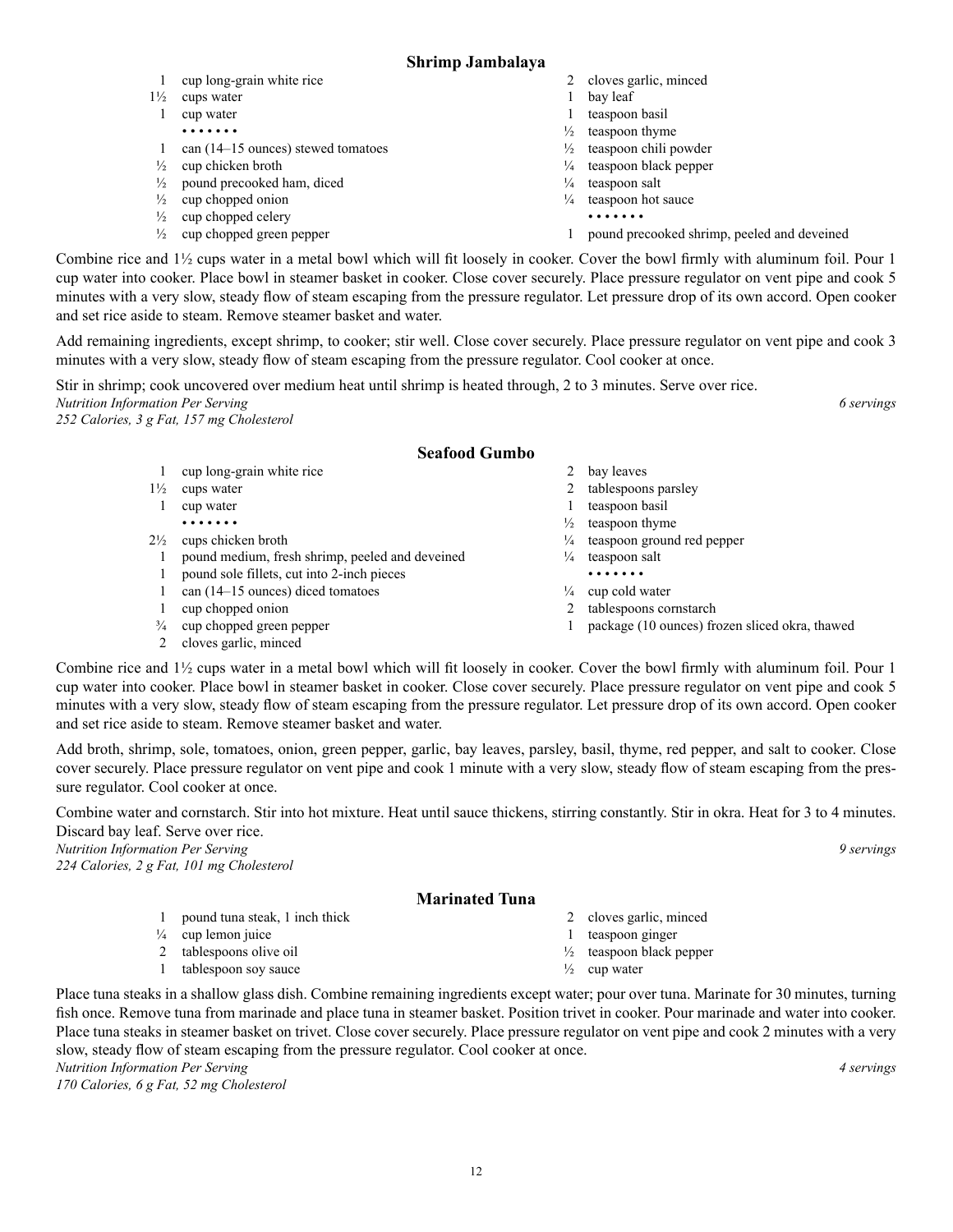#### **Shrimp Jambalaya**

- 1 cup long-grain white rice
- 1½ cups water
- 1 cup water • • • • • • •
- 1 can (14–15 ounces) stewed tomatoes
- $\frac{1}{2}$  cup chicken broth
- ½ pound precooked ham, diced
- $\frac{1}{2}$  cup chopped onion
- $\frac{1}{2}$  cup chopped celery
- $\frac{1}{2}$  cup chopped green pepper
- 2 cloves garlic, minced
- 1 bay leaf
- 1 teaspoon basil
- $\frac{1}{2}$  teaspoon thyme
- ½ teaspoon chili powder
- ¼ teaspoon black pepper
- $\frac{1}{4}$  teaspoon salt
- $\frac{1}{4}$  teaspoon hot sauce
	- • • • •
- 1 pound precooked shrimp, peeled and deveined

Combine rice and 1½ cups water in a metal bowl which will fit loosely in cooker. Cover the bowl firmly with aluminum foil. Pour 1 cup water into cooker. Place bowl in steamer basket in cooker. Close cover securely. Place pressure regulator on vent pipe and cook 5 minutes with a very slow, steady flow of steam escaping from the pressure regulator. Let pressure drop of its own accord. Open cooker and set rice aside to steam. Remove steamer basket and water.

Add remaining ingredients, except shrimp, to cooker; stir well. Close cover securely. Place pressure regulator on vent pipe and cook 3 minutes with a very slow, steady flow of steam escaping from the pressure regulator. Cool cooker at once.

Stir in shrimp; cook uncovered over medium heat until shrimp is heated through, 2 to 3 minutes. Serve over rice. *Nutrition Information Per Serving 6 servings* 

*252 Calories, 3 g Fat, 157 mg Cholesterol* 

#### **Seafood Gumbo**

- 1 cup long-grain white rice
- 1½ cups water
- 1 cup water • • • • • • •
- 2½ cups chicken broth
- 1 pound medium, fresh shrimp, peeled and deveined
- 1 pound sole fillets, cut into 2-inch pieces
- 1 can (14–15 ounces) diced tomatoes
- 1 cup chopped onion
- ¾ cup chopped green pepper

1 pound tuna steak, 1 inch thick

 $\frac{1}{4}$  cup lemon juice 2 tablespoons olive oil 1 tablespoon soy sauce

2 cloves garlic, minced

- 2 bay leaves
- 2 tablespoons parsley
- 1 teaspoon basil
- $\frac{1}{2}$  teaspoon thyme
- ¼ teaspoon ground red pepper
- $\frac{1}{4}$  teaspoon salt
	- • • • •
- $\frac{1}{4}$  cup cold water
- 2 tablespoons cornstarch
- 1 package (10 ounces) frozen sliced okra, thawed

Combine rice and 1½ cups water in a metal bowl which will fit loosely in cooker. Cover the bowl firmly with aluminum foil. Pour 1 cup water into cooker. Place bowl in steamer basket in cooker. Close cover securely. Place pressure regulator on vent pipe and cook 5 minutes with a very slow, steady flow of steam escaping from the pressure regulator. Let pressure drop of its own accord. Open cooker and set rice aside to steam. Remove steamer basket and water.

Add broth, shrimp, sole, tomatoes, onion, green pepper, garlic, bay leaves, parsley, basil, thyme, red pepper, and salt to cooker. Close cover securely. Place pressure regulator on vent pipe and cook 1 minute with a very slow, steady flow of steam escaping from the pressure regulator. Cool cooker at once.

Combine water and cornstarch. Stir into hot mixture. Heat until sauce thickens, stirring constantly. Stir in okra. Heat for 3 to 4 minutes. Discard bay leaf. Serve over rice.

*Nutrition Information Per Serving 9 servings 224 Calories, 2 g Fat, 101 mg Cholesterol*

#### **Marinated Tuna**

- 2 cloves garlic, minced
- 1 teaspoon ginger
- ½ teaspoon black pepper
- $\frac{1}{2}$  cup water

Place tuna steaks in a shallow glass dish. Combine remaining ingredients except water; pour over tuna. Marinate for 30 minutes, turning fish once. Remove tuna from marinade and place tuna in steamer basket. Position trivet in cooker. Pour marinade and water into cooker. Place tuna steaks in steamer basket on trivet. Close cover securely. Place pressure regulator on vent pipe and cook 2 minutes with a very slow, steady flow of steam escaping from the pressure regulator. Cool cooker at once. *Nutrition Information Per Serving 4 servings* 

*170 Calories, 6 g Fat, 52 mg Cholesterol*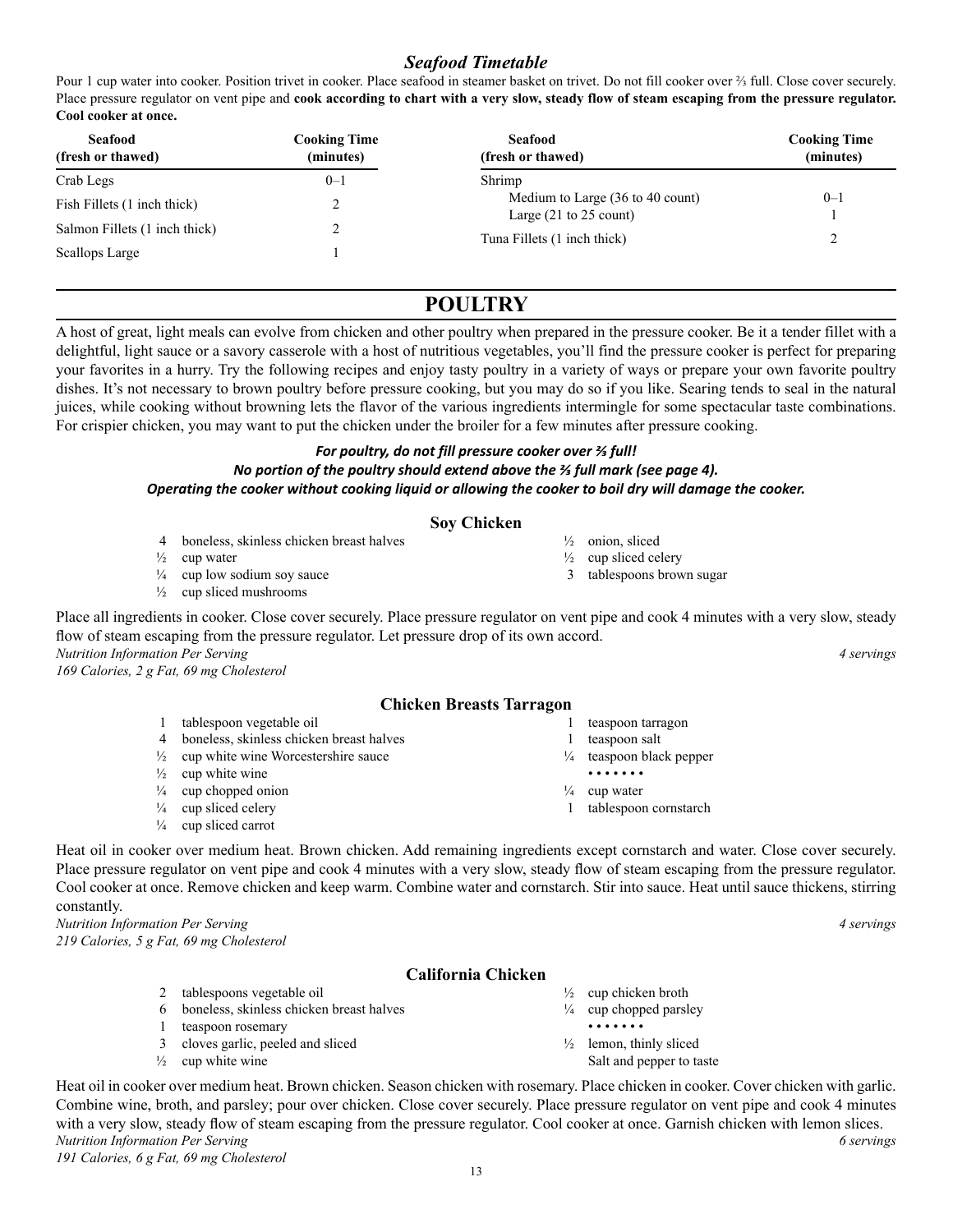### *Seafood Timetable*

Pour 1 cup water into cooker. Position trivet in cooker. Place seafood in steamer basket on trivet. Do not fill cooker over ⅔ full. Close cover securely. Place pressure regulator on vent pipe and **cook according to chart with a very slow, steady flow of steam escaping from the pressure regulator. Cool cooker at once.**

| <b>Seafood</b><br>(fresh or thawed) | Cooking Time<br>(minutes) | <b>Seafood</b><br>(fresh or thawed)                                           | Cooking Time<br>(minutes) |
|-------------------------------------|---------------------------|-------------------------------------------------------------------------------|---------------------------|
| Crab Legs                           | $0 - 1$                   | Shrimp                                                                        |                           |
| Fish Fillets (1 inch thick)         |                           | Medium to Large (36 to 40 count)<br>Large $(21 \text{ to } 25 \text{ count})$ | $0 - 1$                   |
| Salmon Fillets (1 inch thick)       |                           |                                                                               |                           |
| Scallops Large                      |                           | Tuna Fillets (1 inch thick)                                                   |                           |

### **POULTRY**

A host of great, light meals can evolve from chicken and other poultry when prepared in the pressure cooker. Be it a tender fillet with a delightful, light sauce or a savory casserole with a host of nutritious vegetables, you'll find the pressure cooker is perfect for preparing your favorites in a hurry. Try the following recipes and enjoy tasty poultry in a variety of ways or prepare your own favorite poultry dishes. It's not necessary to brown poultry before pressure cooking, but you may do so if you like. Searing tends to seal in the natural juices, while cooking without browning lets the flavor of the various ingredients intermingle for some spectacular taste combinations. For crispier chicken, you may want to put the chicken under the broiler for a few minutes after pressure cooking.

#### *For poultry, do not fill pressure cooker over ⅔ full! No portion of the poultry should extend above the ⅔ full mark (see page 4). Operating the cooker without cooking liquid or allowing the cooker to boil dry will damage the cooker.*

#### **Soy Chicken**

- 4 boneless, skinless chicken breast halves
- $\frac{1}{2}$  cup water
- $\frac{1}{4}$  cup low sodium soy sauce
- $\frac{1}{2}$  cup sliced mushrooms

Place all ingredients in cooker. Close cover securely. Place pressure regulator on vent pipe and cook 4 minutes with a very slow, steady flow of steam escaping from the pressure regulator. Let pressure drop of its own accord. *Nutrition Information Per Serving 4 servings 169 Calories, 2 g Fat, 69 mg Cholesterol*

#### **Chicken Breasts Tarragon**

| tablespoon vegetable oil                          |               | teaspoon tarragon                   |
|---------------------------------------------------|---------------|-------------------------------------|
| 4 boneless, skinless chicken breast halves        |               | teaspoon salt                       |
| $\frac{1}{2}$ cup white wine Worcestershire sauce |               | $\frac{1}{4}$ teaspoon black pepper |
| $\frac{1}{2}$ cup white wine                      |               | .                                   |
| $\frac{1}{4}$ cup chopped onion                   | $\frac{1}{4}$ | cup water                           |
| $\frac{1}{4}$ cup sliced celery                   |               | tablespoon cornstarch               |
| $\frac{1}{4}$ cup sliced carrot                   |               |                                     |

Heat oil in cooker over medium heat. Brown chicken. Add remaining ingredients except cornstarch and water. Close cover securely. Place pressure regulator on vent pipe and cook 4 minutes with a very slow, steady flow of steam escaping from the pressure regulator. Cool cooker at once. Remove chicken and keep warm. Combine water and cornstarch. Stir into sauce. Heat until sauce thickens, stirring constantly.

*Nutrition Information Per Serving 4 servings 219 Calories, 5 g Fat, 69 mg Cholesterol*

#### **California Chicken**

- 2 tablespoons vegetable oil 6 boneless, skinless chicken breast halves
- 1 teaspoon rosemary
- 3 cloves garlic, peeled and sliced
- $\frac{1}{2}$  cup white wine

 $\frac{1}{2}$  cup chicken broth

½ onion, sliced  $\frac{1}{2}$  cup sliced celery 3 tablespoons brown sugar

- $\frac{1}{4}$  cup chopped parsley • • • • • • •
- $\frac{1}{2}$  lemon, thinly sliced Salt and pepper to taste

Heat oil in cooker over medium heat. Brown chicken. Season chicken with rosemary. Place chicken in cooker. Cover chicken with garlic. Combine wine, broth, and parsley; pour over chicken. Close cover securely. Place pressure regulator on vent pipe and cook 4 minutes with a very slow, steady flow of steam escaping from the pressure regulator. Cool cooker at once. Garnish chicken with lemon slices. *Nutrition Information Per Serving 6 servings* 

*191 Calories, 6 g Fat, 69 mg Cholesterol*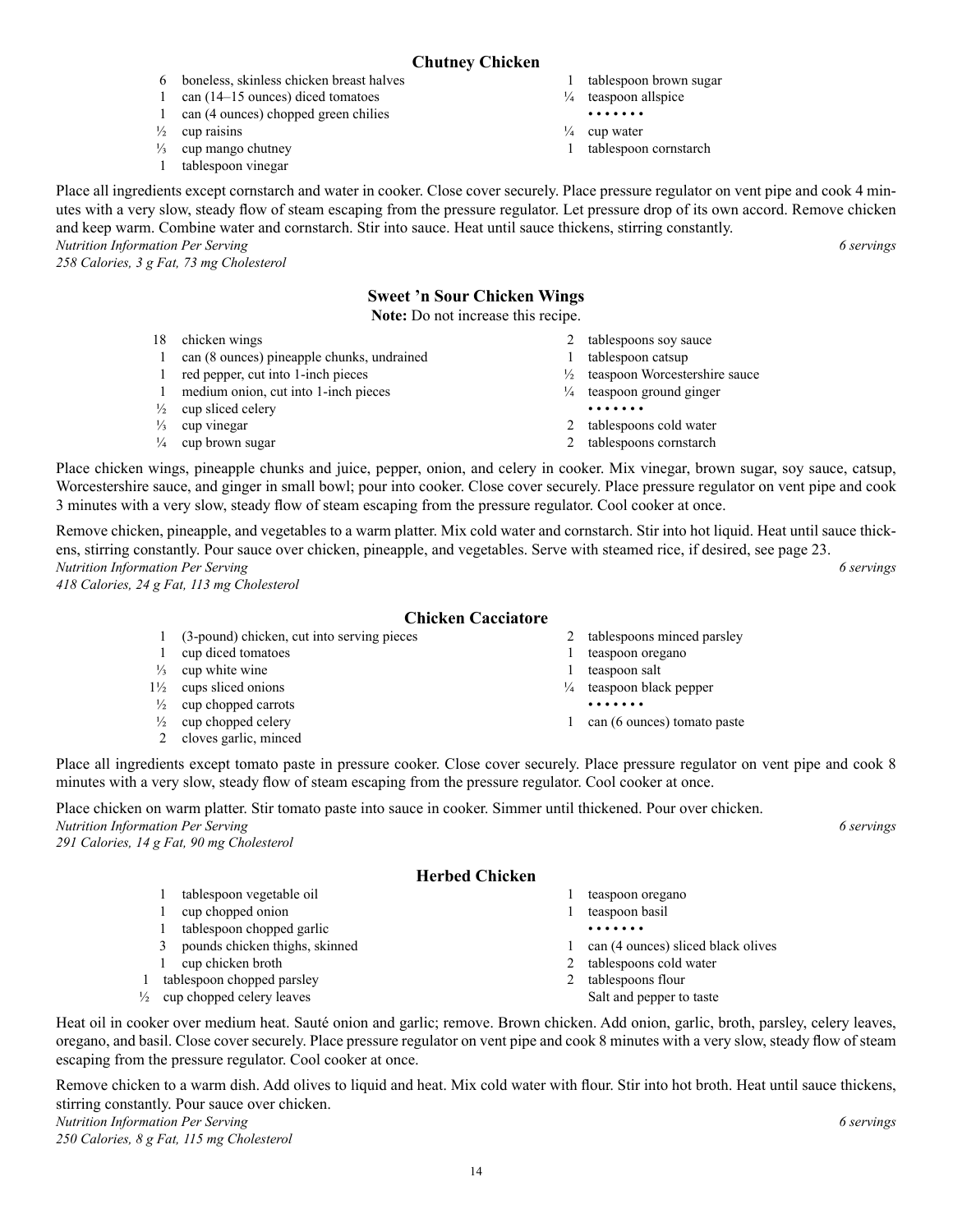### **Chutney Chicken**

- 6 boneless, skinless chicken breast halves
- 1 can (14–15 ounces) diced tomatoes 1 can (4 ounces) chopped green chilies
- $\frac{1}{2}$  cup raisins
- $\frac{1}{3}$  cup mango chutney
- 1 tablespoon vinegar
- 1 tablespoon brown sugar
- $\frac{1}{4}$  teaspoon allspice
- • • • •
- $\frac{1}{4}$  cup water
- 1 tablespoon cornstarch

Place all ingredients except cornstarch and water in cooker. Close cover securely. Place pressure regulator on vent pipe and cook 4 minutes with a very slow, steady flow of steam escaping from the pressure regulator. Let pressure drop of its own accord. Remove chicken and keep warm. Combine water and cornstarch. Stir into sauce. Heat until sauce thickens, stirring constantly. *Nutrition Information Per Serving 6 servings* 

*258 Calories, 3 g Fat, 73 mg Cholesterol*

### **Sweet 'n Sour Chicken Wings**

**Note:** Do not increase this recipe.

- 18 chicken wings
- 1 can (8 ounces) pineapple chunks, undrained
- 1 red pepper, cut into 1-inch pieces
- 1 medium onion, cut into 1-inch pieces
- $\frac{1}{2}$  cup sliced celery
- $\frac{1}{3}$  cup vinegar
- $\frac{1}{4}$  cup brown sugar
- 2 tablespoons soy sauce
- 1 tablespoon catsup
- ½ teaspoon Worcestershire sauce
- ¼ teaspoon ground ginger
- • • • •
- 2 tablespoons cold water
- 2 tablespoons cornstarch

Place chicken wings, pineapple chunks and juice, pepper, onion, and celery in cooker. Mix vinegar, brown sugar, soy sauce, catsup, Worcestershire sauce, and ginger in small bowl; pour into cooker. Close cover securely. Place pressure regulator on vent pipe and cook 3 minutes with a very slow, steady flow of steam escaping from the pressure regulator. Cool cooker at once.

Remove chicken, pineapple, and vegetables to a warm platter. Mix cold water and cornstarch. Stir into hot liquid. Heat until sauce thickens, stirring constantly. Pour sauce over chicken, pineapple, and vegetables. Serve with steamed rice, if desired, see page 23. *Nutrition Information Per Serving 6 servings* 

*418 Calories, 24 g Fat, 113 mg Cholesterol*

#### **Chicken Cacciatore**

|                | (3-pound) chicken, cut into serving pieces | tablespoons minced parsley          |
|----------------|--------------------------------------------|-------------------------------------|
|                | cup diced tomatoes                         | teaspoon oregano                    |
| $\frac{1}{3}$  | cup white wine                             | teaspoon salt                       |
| $1\frac{1}{2}$ | cups sliced onions                         | $\frac{1}{4}$ teaspoon black pepper |
| $\frac{1}{2}$  | cup chopped carrots                        | .                                   |
| $\frac{1}{2}$  | cup chopped celery                         | can (6 ounces) tomato paste         |
|                | cloves garlic, minced                      |                                     |

Place all ingredients except tomato paste in pressure cooker. Close cover securely. Place pressure regulator on vent pipe and cook 8 minutes with a very slow, steady flow of steam escaping from the pressure regulator. Cool cooker at once.

Place chicken on warm platter. Stir tomato paste into sauce in cooker. Simmer until thickened. Pour over chicken. *Nutrition Information Per Serving 6 servings 291 Calories, 14 g Fat, 90 mg Cholesterol*

#### **Herbed Chicken**

1 tablespoon vegetable oil 1 cup chopped onion 1 tablespoon chopped garlic 3 pounds chicken thighs, skinned 1 cup chicken broth 1 tablespoon chopped parsley  $\frac{1}{2}$  cup chopped celery leaves 1 teaspoon oregano 1 teaspoon basil • • • • • • • 2 tablespoons flour Salt and pepper to taste

Heat oil in cooker over medium heat. Sauté onion and garlic; remove. Brown chicken. Add onion, garlic, broth, parsley, celery leaves, oregano, and basil. Close cover securely. Place pressure regulator on vent pipe and cook 8 minutes with a very slow, steady flow of steam escaping from the pressure regulator. Cool cooker at once.

Remove chicken to a warm dish. Add olives to liquid and heat. Mix cold water with flour. Stir into hot broth. Heat until sauce thickens, stirring constantly. Pour sauce over chicken. *Nutrition Information Per Serving 6 servings 250 Calories, 8 g Fat, 115 mg Cholesterol*

- 
- 1 can (4 ounces) sliced black olives
- 2 tablespoons cold water
-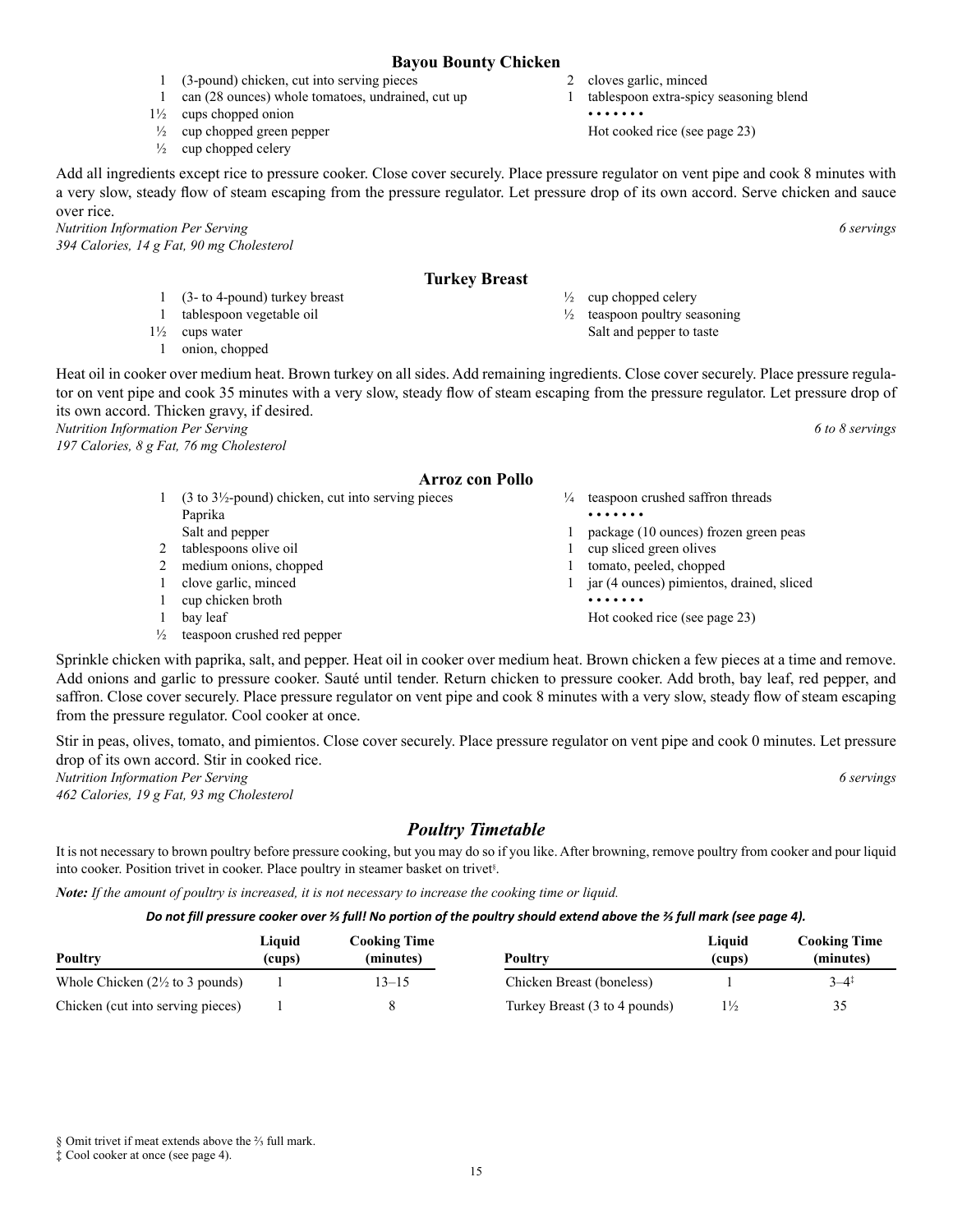#### **Bayou Bounty Chicken**

- 1 (3-pound) chicken, cut into serving pieces
- 1 can (28 ounces) whole tomatoes, undrained, cut up
- 1½ cups chopped onion
- $\frac{1}{2}$  cup chopped green pepper
- $\frac{1}{2}$  cup chopped celery

Add all ingredients except rice to pressure cooker. Close cover securely. Place pressure regulator on vent pipe and cook 8 minutes with a very slow, steady flow of steam escaping from the pressure regulator. Let pressure drop of its own accord. Serve chicken and sauce over rice.

*Nutrition Information Per Serving 6 servings 394 Calories, 14 g Fat, 90 mg Cholesterol*

#### **Turkey Breast**

- 1 (3- to 4-pound) turkey breast
- 1 tablespoon vegetable oil
- 1½ cups water
- 1 onion, chopped

Heat oil in cooker over medium heat. Brown turkey on all sides. Add remaining ingredients. Close cover securely. Place pressure regulator on vent pipe and cook 35 minutes with a very slow, steady flow of steam escaping from the pressure regulator. Let pressure drop of its own accord. Thicken gravy, if desired.

*Nutrition Information Per Serving 6 to 8 servings* 

*197 Calories, 8 g Fat, 76 mg Cholesterol*

#### **Arroz con Pollo**

- 1 (3 to 3½-pound) chicken, cut into serving pieces Paprika
- Salt and pepper 2 tablespoons olive oil
- 2 medium onions, chopped
- 1 clove garlic, minced
- 1 cup chicken broth
- 1 bay leaf
- ½ teaspoon crushed red pepper

Sprinkle chicken with paprika, salt, and pepper. Heat oil in cooker over medium heat. Brown chicken a few pieces at a time and remove. Add onions and garlic to pressure cooker. Sauté until tender. Return chicken to pressure cooker. Add broth, bay leaf, red pepper, and saffron. Close cover securely. Place pressure regulator on vent pipe and cook 8 minutes with a very slow, steady flow of steam escaping from the pressure regulator. Cool cooker at once.

Stir in peas, olives, tomato, and pimientos. Close cover securely. Place pressure regulator on vent pipe and cook 0 minutes. Let pressure drop of its own accord. Stir in cooked rice. *Nutrition Information Per Serving 6 servings* 

*462 Calories, 19 g Fat, 93 mg Cholesterol*

*Poultry Timetable*

It is not necessary to brown poultry before pressure cooking, but you may do so if you like. After browning, remove poultry from cooker and pour liquid into cooker. Position trivet in cooker. Place poultry in steamer basket on trivet§ .

*Note: If the amount of poultry is increased, it is not necessary to increase the cooking time or liquid.*

#### *Do not fill pressure cooker over ⅔ full! No portion of the poultry should extend above the ⅔ full mark (see page 4).*

| <b>Poultry</b>                             | Liquid<br>(cups) | Cooking Time<br>(minutes) | Poultry                       | Liquid<br>(cups) | <b>Cooking Time</b><br>(minutes) |
|--------------------------------------------|------------------|---------------------------|-------------------------------|------------------|----------------------------------|
| Whole Chicken $(2\frac{1}{2}$ to 3 pounds) |                  | $3 - 15$                  | Chicken Breast (boneless)     |                  | $3 - 4^{\ddagger}$               |
| Chicken (cut into serving pieces)          |                  |                           | Turkey Breast (3 to 4 pounds) | $1\frac{1}{2}$   | 35                               |

- - 1 package (10 ounces) frozen green peas
	- 1 cup sliced green olives
	- 1 tomato, peeled, chopped
	- 1 jar (4 ounces) pimientos, drained, sliced • • • • • • •
		-

 $\frac{1}{2}$  cup chopped celery

2 cloves garlic, minced

• • • • • • •

1 tablespoon extra-spicy seasoning blend

Hot cooked rice (see page 23)

 $\frac{1}{2}$  teaspoon poultry seasoning Salt and pepper to taste

teaspoon crushed saffron threads • • • • • • •

- 
- 
- 
- - Hot cooked rice (see page 23)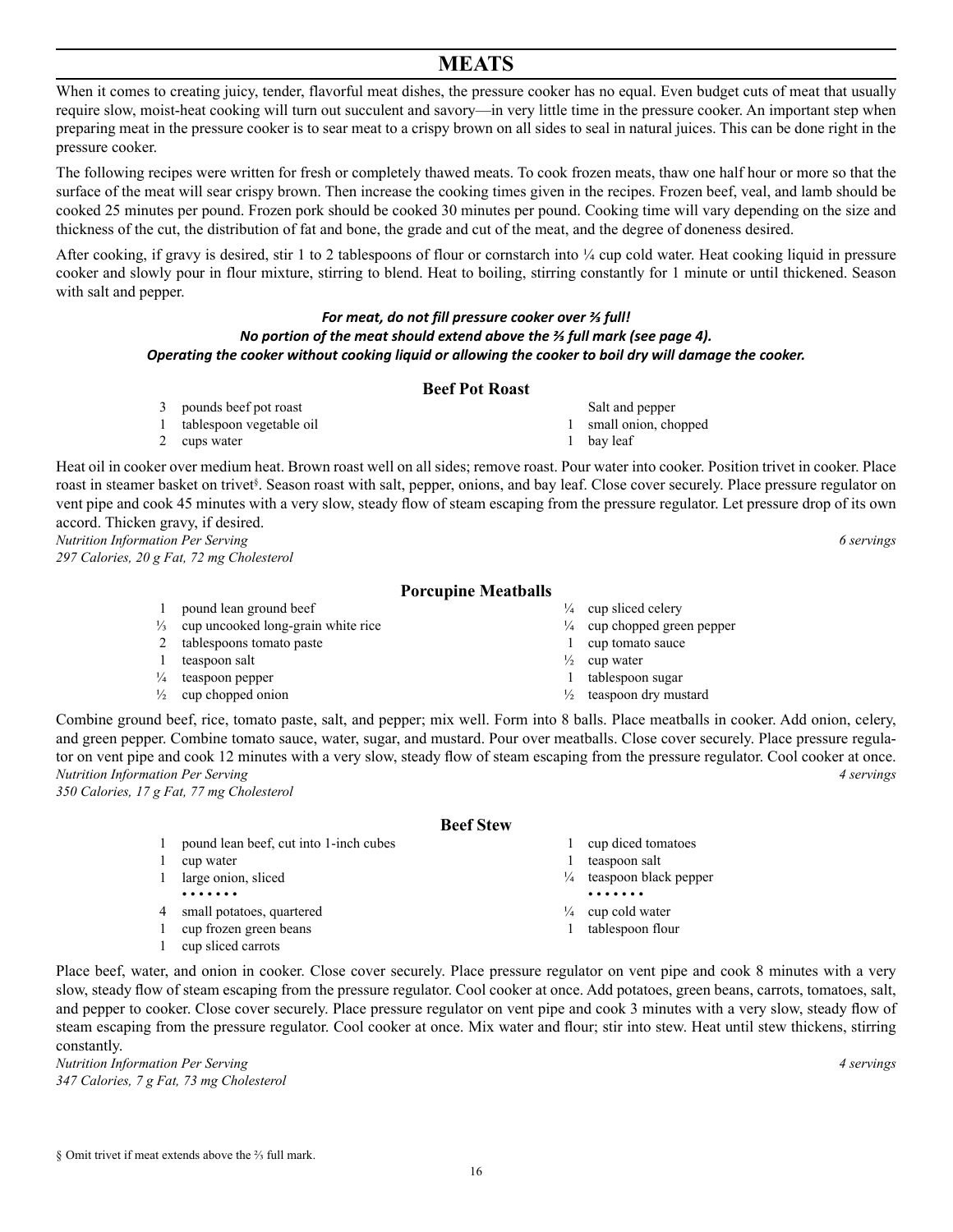### **MEATS**

When it comes to creating juicy, tender, flavorful meat dishes, the pressure cooker has no equal. Even budget cuts of meat that usually require slow, moist-heat cooking will turn out succulent and savory—in very little time in the pressure cooker. An important step when preparing meat in the pressure cooker is to sear meat to a crispy brown on all sides to seal in natural juices. This can be done right in the pressure cooker.

The following recipes were written for fresh or completely thawed meats. To cook frozen meats, thaw one half hour or more so that the surface of the meat will sear crispy brown. Then increase the cooking times given in the recipes. Frozen beef, veal, and lamb should be cooked 25 minutes per pound. Frozen pork should be cooked 30 minutes per pound. Cooking time will vary depending on the size and thickness of the cut, the distribution of fat and bone, the grade and cut of the meat, and the degree of doneness desired.

After cooking, if gravy is desired, stir 1 to 2 tablespoons of flour or cornstarch into  $\frac{1}{4}$  cup cold water. Heat cooking liquid in pressure cooker and slowly pour in flour mixture, stirring to blend. Heat to boiling, stirring constantly for 1 minute or until thickened. Season with salt and pepper.

#### *For meat, do not fill pressure cooker over ⅔ full! No portion of the meat should extend above the ⅔ full mark (see page 4). Operating the cooker without cooking liquid or allowing the cooker to boil dry will damage the cooker.*

#### **Beef Pot Roast**

- 3 pounds beef pot roast
- 1 tablespoon vegetable oil

2 cups water

- Salt and pepper 1 small onion, chopped
- 1 bay leaf

Heat oil in cooker over medium heat. Brown roast well on all sides; remove roast. Pour water into cooker. Position trivet in cooker. Place roast in steamer basket on trivet<sup>§</sup>. Season roast with salt, pepper, onions, and bay leaf. Close cover securely. Place pressure regulator on vent pipe and cook 45 minutes with a very slow, steady flow of steam escaping from the pressure regulator. Let pressure drop of its own accord. Thicken gravy, if desired.

*Nutrition Information Per Serving 6 servings 297 Calories, 20 g Fat, 72 mg Cholesterol*

#### **Porcupine Meatballs**

1 pound lean ground beef  $\frac{1}{3}$  cup uncooked long-grain white rice 2 tablespoons tomato paste 1 teaspoon salt  $\frac{1}{4}$  teaspoon pepper  $\frac{1}{2}$  cup chopped onion  $\frac{1}{4}$  cup sliced celery  $\frac{1}{4}$  cup chopped green pepper 1 cup tomato sauce  $\frac{1}{2}$  cup water 1 tablespoon sugar  $\frac{1}{2}$  teaspoon dry mustard

Combine ground beef, rice, tomato paste, salt, and pepper; mix well. Form into 8 balls. Place meatballs in cooker. Add onion, celery, and green pepper. Combine tomato sauce, water, sugar, and mustard. Pour over meatballs. Close cover securely. Place pressure regulator on vent pipe and cook 12 minutes with a very slow, steady flow of steam escaping from the pressure regulator. Cool cooker at once. *Nutrition Information Per Serving 4 servings 350 Calories, 17 g Fat, 77 mg Cholesterol*

#### **Beef Stew**

- 1 pound lean beef, cut into 1-inch cubes
- 1 cup water
- 1 large onion, sliced
- • • • 4 small potatoes, quartered
- 1 cup frozen green beans
- 1 cup sliced carrots

Place beef, water, and onion in cooker. Close cover securely. Place pressure regulator on vent pipe and cook 8 minutes with a very slow, steady flow of steam escaping from the pressure regulator. Cool cooker at once. Add potatoes, green beans, carrots, tomatoes, salt, and pepper to cooker. Close cover securely. Place pressure regulator on vent pipe and cook 3 minutes with a very slow, steady flow of steam escaping from the pressure regulator. Cool cooker at once. Mix water and flour; stir into stew. Heat until stew thickens, stirring constantly.

16

*Nutrition Information Per Serving 4 servings 347 Calories, 7 g Fat, 73 mg Cholesterol*

- 1 cup diced tomatoes
- 1 teaspoon salt
- $\frac{1}{4}$  teaspoon black pepper
- • • • •
- $\frac{1}{4}$  cup cold water
- 1 tablespoon flour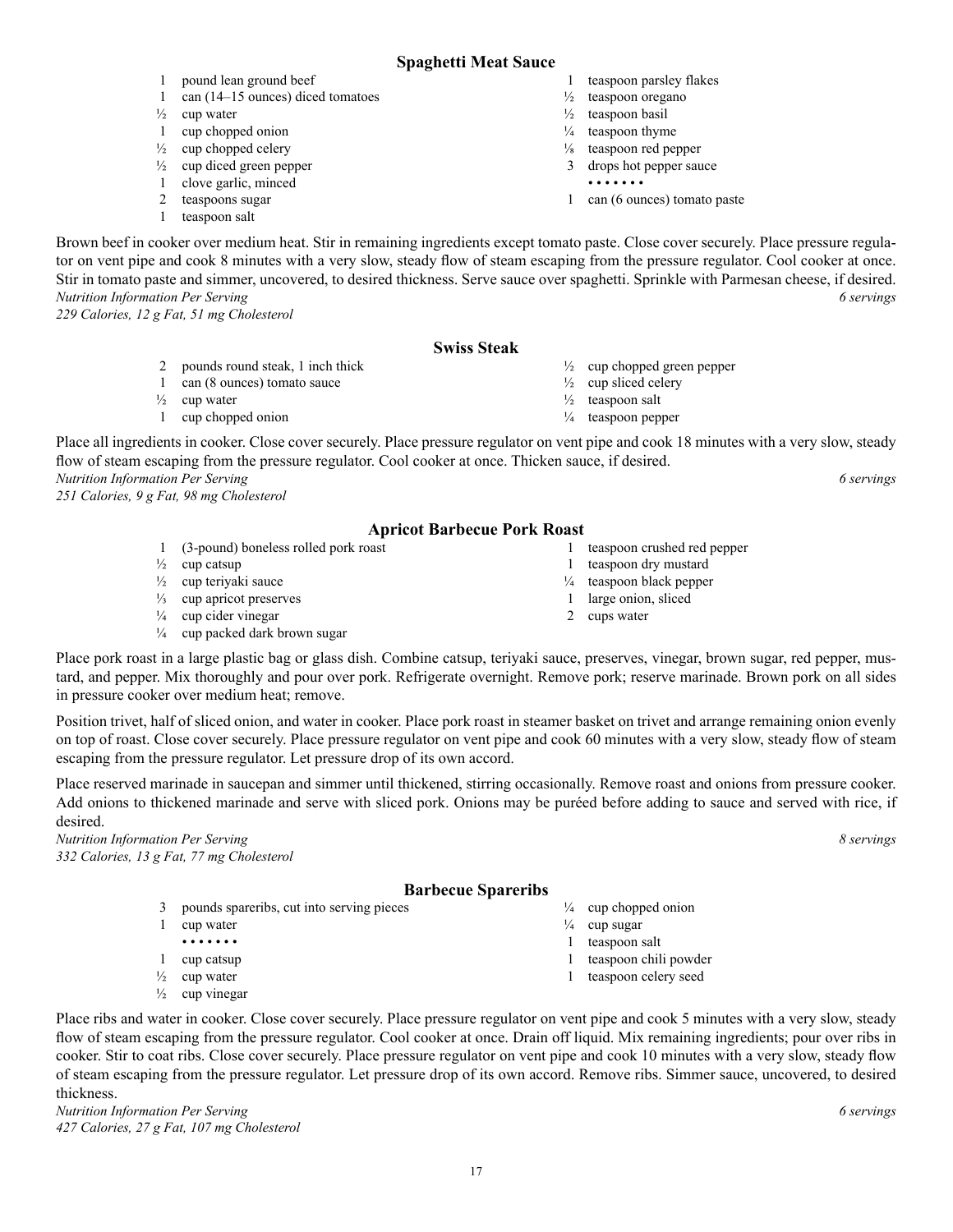#### **Spaghetti Meat Sauce**

- 1 teaspoon parsley flakes
	- $\frac{1}{2}$  teaspoon oregano
	- $\frac{1}{2}$  teaspoon basil
	- $\frac{1}{4}$  teaspoon thyme
	- $\frac{1}{8}$  teaspoon red pepper
	- 3 drops hot pepper sauce
		- • • • •
	- 1 can (6 ounces) tomato paste

 $\frac{1}{2}$  cup chopped green pepper

1 teaspoon crushed red pepper 1 teaspoon dry mustard ¼ teaspoon black pepper 1 large onion, sliced 2 cups water

 $\frac{1}{2}$  cup sliced celery  $\frac{1}{2}$  teaspoon salt ¼ teaspoon pepper

Brown beef in cooker over medium heat. Stir in remaining ingredients except tomato paste. Close cover securely. Place pressure regulator on vent pipe and cook 8 minutes with a very slow, steady flow of steam escaping from the pressure regulator. Cool cooker at once. Stir in tomato paste and simmer, uncovered, to desired thickness. Serve sauce over spaghetti. Sprinkle with Parmesan cheese, if desired. *Nutrition Information Per Serving 6 servings* 

*229 Calories, 12 g Fat, 51 mg Cholesterol*

#### **Swiss Steak**

- 2 pounds round steak, 1 inch thick
- 1 can (8 ounces) tomato sauce

1 pound lean ground beef

1 cup chopped onion  $\frac{1}{2}$  cup chopped celery  $\frac{1}{2}$  cup diced green pepper 1 clove garlic, minced 2 teaspoons sugar 1 teaspoon salt

 $\frac{1}{2}$  cup water

1 can (14–15 ounces) diced tomatoes

- $\frac{1}{2}$  cup water
- 1 cup chopped onion

Place all ingredients in cooker. Close cover securely. Place pressure regulator on vent pipe and cook 18 minutes with a very slow, steady flow of steam escaping from the pressure regulator. Cool cooker at once. Thicken sauce, if desired. *Nutrition Information Per Serving 6 servings* 

*251 Calories, 9 g Fat, 98 mg Cholesterol*

#### **Apricot Barbecue Pork Roast**

- 1 (3-pound) boneless rolled pork roast
- $\frac{1}{2}$  cup catsup
- ½ cup teriyaki sauce
- ⅓ cup apricot preserves
- $\frac{1}{4}$  cup cider vinegar
- $\frac{1}{4}$  cup packed dark brown sugar
- Place pork roast in a large plastic bag or glass dish. Combine catsup, teriyaki sauce, preserves, vinegar, brown sugar, red pepper, mustard, and pepper. Mix thoroughly and pour over pork. Refrigerate overnight. Remove pork; reserve marinade. Brown pork on all sides in pressure cooker over medium heat; remove.

Position trivet, half of sliced onion, and water in cooker. Place pork roast in steamer basket on trivet and arrange remaining onion evenly on top of roast. Close cover securely. Place pressure regulator on vent pipe and cook 60 minutes with a very slow, steady flow of steam escaping from the pressure regulator. Let pressure drop of its own accord.

Place reserved marinade in saucepan and simmer until thickened, stirring occasionally. Remove roast and onions from pressure cooker. Add onions to thickened marinade and serve with sliced pork. Onions may be puréed before adding to sauce and served with rice, if desired.

*Nutrition Information Per Serving 8 servings 332 Calories, 13 g Fat, 77 mg Cholesterol*

#### **Barbecue Spareribs**

- 3 pounds spareribs, cut into serving pieces
- 1 cup water • • • • • • •
- 1 cup catsup
- $\frac{1}{2}$  cup water
- $\frac{1}{2}$  cup vinegar

Place ribs and water in cooker. Close cover securely. Place pressure regulator on vent pipe and cook 5 minutes with a very slow, steady flow of steam escaping from the pressure regulator. Cool cooker at once. Drain off liquid. Mix remaining ingredients; pour over ribs in cooker. Stir to coat ribs. Close cover securely. Place pressure regulator on vent pipe and cook 10 minutes with a very slow, steady flow of steam escaping from the pressure regulator. Let pressure drop of its own accord. Remove ribs. Simmer sauce, uncovered, to desired thickness.

*Nutrition Information Per Serving 6 servings 427 Calories, 27 g Fat, 107 mg Cholesterol*

- 
- 
- 

 $\frac{1}{4}$  cup chopped onion  $\frac{1}{4}$  cup sugar 1 teaspoon salt

- 1 teaspoon chili powder
- 1 teaspoon celery seed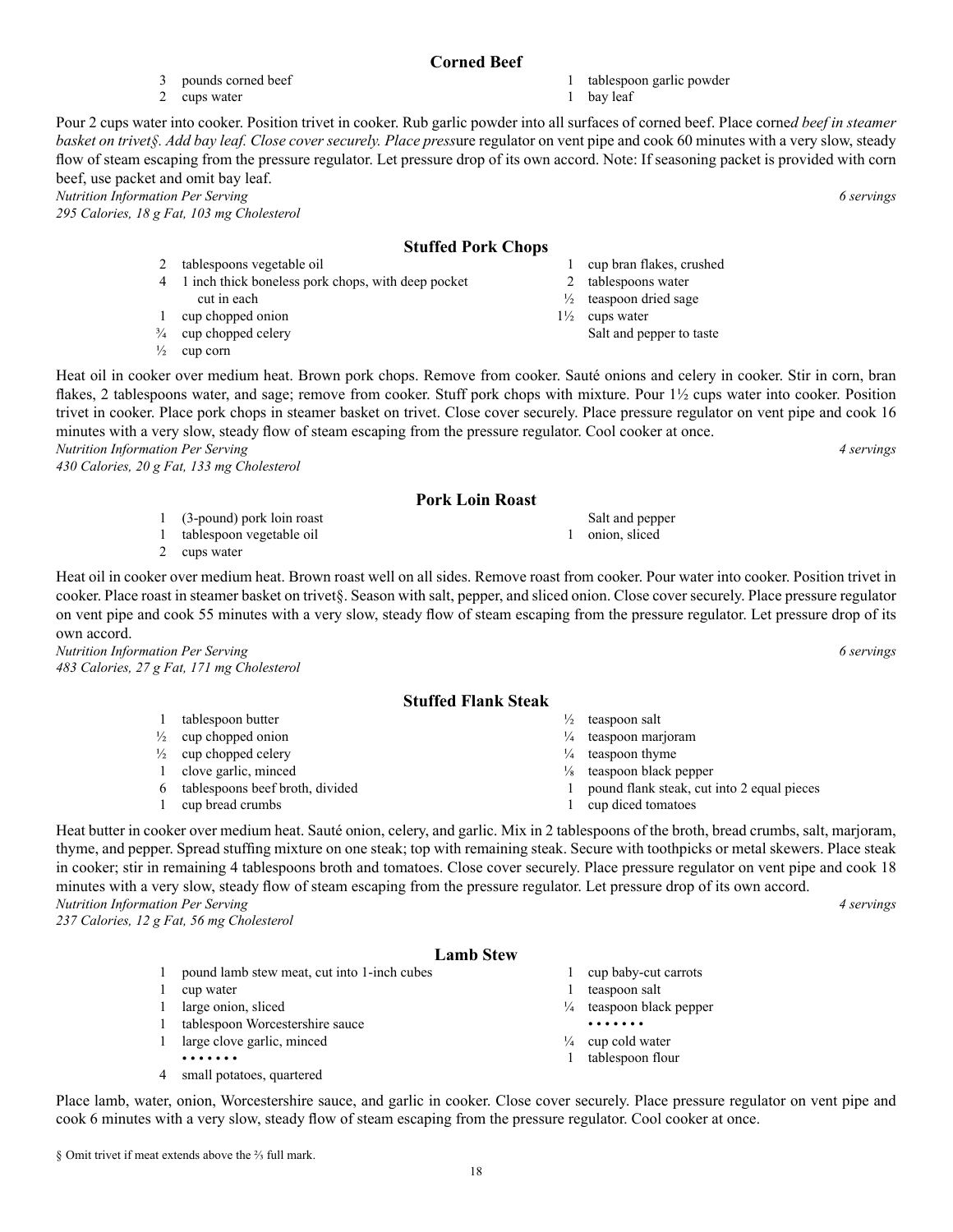#### **Corned Beef**

1 tablespoon garlic powder 1 bay leaf

Pour 2 cups water into cooker. Position trivet in cooker. Rub garlic powder into all surfaces of corned beef. Place corne*d beef in steamer basket on trivet§. Add bay leaf. Close cover securely. Place press*ure regulator on vent pipe and cook 60 minutes with a very slow, steady flow of steam escaping from the pressure regulator. Let pressure drop of its own accord. Note: If seasoning packet is provided with corn beef, use packet and omit bay leaf.

*Nutrition Information Per Serving 6 servings* 

*295 Calories, 18 g Fat, 103 mg Cholesterol*

#### **Stuffed Pork Chops**

- 2 tablespoons vegetable oil 4 1 inch thick boneless pork chops, with deep pocket
- cut in each 1 cup chopped onion
- ¾ cup chopped celery

3 pounds corned beef 2 cups water

 $\frac{1}{2}$  cup corn

Heat oil in cooker over medium heat. Brown pork chops. Remove from cooker. Sauté onions and celery in cooker. Stir in corn, bran flakes, 2 tablespoons water, and sage; remove from cooker. Stuff pork chops with mixture. Pour  $1\frac{1}{2}$  cups water into cooker. Position trivet in cooker. Place pork chops in steamer basket on trivet. Close cover securely. Place pressure regulator on vent pipe and cook 16 minutes with a very slow, steady flow of steam escaping from the pressure regulator. Cool cooker at once.

*Nutrition Information Per Serving 4 servings* 

*430 Calories, 20 g Fat, 133 mg Cholesterol*

#### **Pork Loin Roast**

- 1 (3-pound) pork loin roast Salt and pepper 1 onion, sliced
- 1 tablespoon vegetable oil 2 cups water

Heat oil in cooker over medium heat. Brown roast well on all sides. Remove roast from cooker. Pour water into cooker. Position trivet in cooker. Place roast in steamer basket on trivet§. Season with salt, pepper, and sliced onion. Close cover securely. Place pressure regulator on vent pipe and cook 55 minutes with a very slow, steady flow of steam escaping from the pressure regulator. Let pressure drop of its own accord.

*Nutrition Information Per Serving 6 servings 483 Calories, 27 g Fat, 171 mg Cholesterol*

#### **Stuffed Flank Steak**

- $\frac{1}{2}$  teaspoon salt
- ¼ teaspoon marjoram
- $\frac{1}{4}$  teaspoon thyme
- ⅛ teaspoon black pepper
- 1 pound flank steak, cut into 2 equal pieces
- 1 cup diced tomatoes

Heat butter in cooker over medium heat. Sauté onion, celery, and garlic. Mix in 2 tablespoons of the broth, bread crumbs, salt, marjoram, thyme, and pepper. Spread stuffing mixture on one steak; top with remaining steak. Secure with toothpicks or metal skewers. Place steak in cooker; stir in remaining 4 tablespoons broth and tomatoes. Close cover securely. Place pressure regulator on vent pipe and cook 18 minutes with a very slow, steady flow of steam escaping from the pressure regulator. Let pressure drop of its own accord.

*Nutrition Information Per Serving 4 servings* 

*237 Calories, 12 g Fat, 56 mg Cholesterol*

### **Lamb Stew**

- 1 pound lamb stew meat, cut into 1-inch cubes
- 1 cup water
- 1 large onion, sliced
- 1 tablespoon Worcestershire sauce
- 1 large clove garlic, minced • • • • • • •
- 4 small potatoes, quartered

Place lamb, water, onion, Worcestershire sauce, and garlic in cooker. Close cover securely. Place pressure regulator on vent pipe and cook 6 minutes with a very slow, steady flow of steam escaping from the pressure regulator. Cool cooker at once.

1 cup bran flakes, crushed

- 2 tablespoons water
- ½ teaspoon dried sage 1½ cups water
	- Salt and pepper to taste

- 
- 
- 
- 
- 
- 

18

- 1 cup baby-cut carrots 1 teaspoon salt
- $\frac{1}{4}$  teaspoon black pepper • • • • • • •
- $\frac{1}{4}$  cup cold water
- 1 tablespoon flour

- 
- 
- 
- 

- $\frac{1}{2}$  cup chopped onion  $\frac{1}{2}$  cup chopped celery
- 1 clove garlic, minced
- 6 tablespoons beef broth, divided
- 1 cup bread crumbs

1 tablespoon butter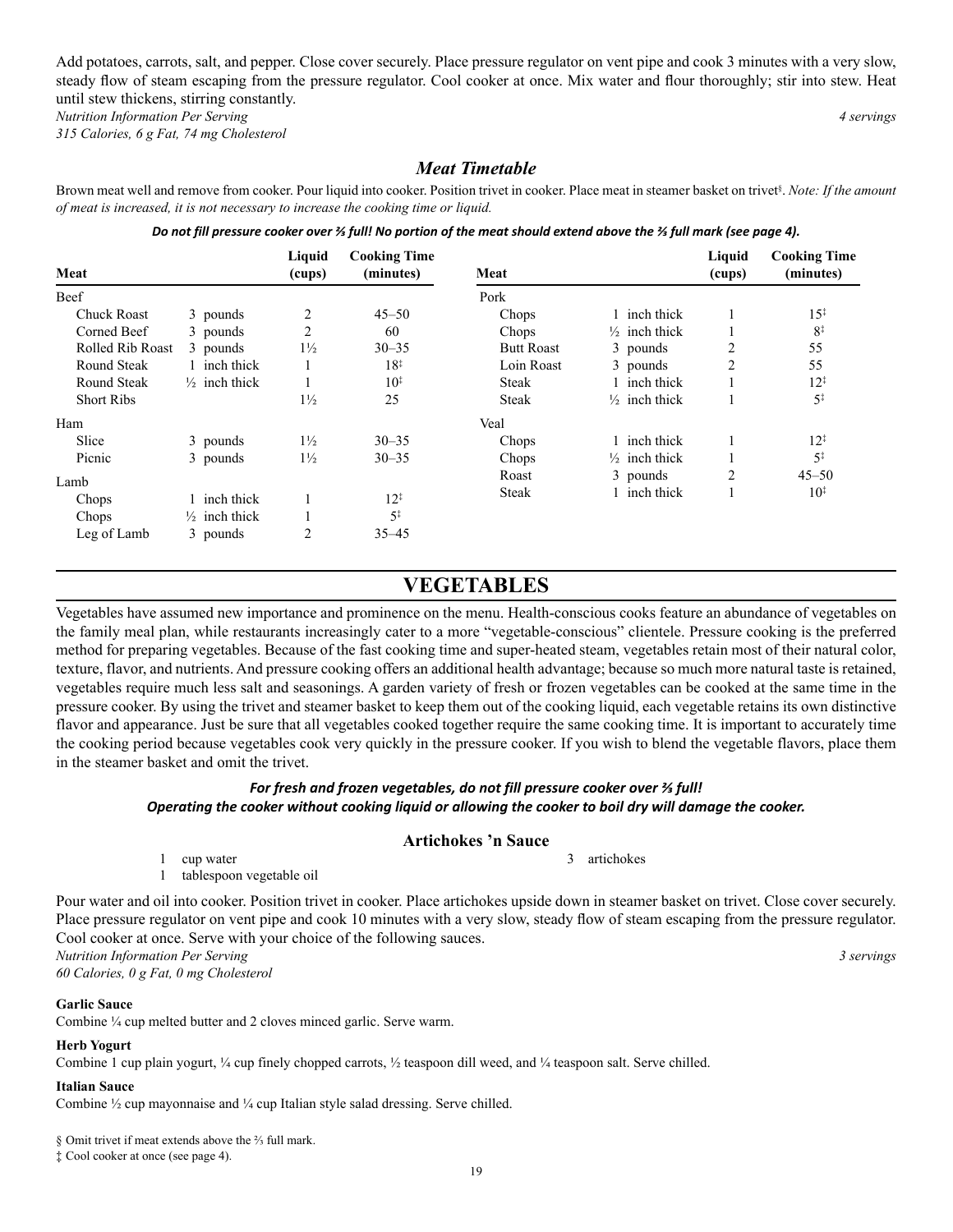Add potatoes, carrots, salt, and pepper. Close cover securely. Place pressure regulator on vent pipe and cook 3 minutes with a very slow, steady flow of steam escaping from the pressure regulator. Cool cooker at once. Mix water and flour thoroughly; stir into stew. Heat until stew thickens, stirring constantly.

*Nutrition Information Per Serving 4 servings* 

*315 Calories, 6 g Fat, 74 mg Cholesterol*

#### *Meat Timetable*

Brown meat well and remove from cooker. Pour liquid into cooker. Position trivet in cooker. Place meat in steamer basket on trivet<sup>§</sup>. Note: If the amount *of meat is increased, it is not necessary to increase the cooking time or liquid.*

|  |  | Do not fill pressure cooker over ¾ full! No portion of the meat should extend above the ¾ full mark (see page 4). |  |
|--|--|-------------------------------------------------------------------------------------------------------------------|--|
|--|--|-------------------------------------------------------------------------------------------------------------------|--|

| Meat               |                          | Liquid<br>(cups) | <b>Cooking Time</b><br>(minutes) | Meat              |                          | Liquid<br>(cups) | <b>Cooking Time</b><br>(minutes) |
|--------------------|--------------------------|------------------|----------------------------------|-------------------|--------------------------|------------------|----------------------------------|
| Beef               |                          |                  |                                  | Pork              |                          |                  |                                  |
| <b>Chuck Roast</b> | 3 pounds                 |                  | $45 - 50$                        | Chops             | 1 inch thick             |                  | $15^{\ddagger}$                  |
| Corned Beef        | 3 pounds                 | 2                | 60                               | Chops             | $\frac{1}{2}$ inch thick |                  | $8^{\ddagger}$                   |
| Rolled Rib Roast   | 3 pounds                 | $1\frac{1}{2}$   | $30 - 35$                        | <b>Butt Roast</b> | 3 pounds                 | $\overline{2}$   | 55                               |
| Round Steak        | 1 inch thick             |                  | $18^{\ddagger}$                  | Loin Roast        | 3 pounds                 | $\overline{2}$   | 55                               |
| Round Steak        | $\frac{1}{2}$ inch thick |                  | $10^{*}$                         | <b>Steak</b>      | 1 inch thick             |                  | $12^{1}$                         |
| <b>Short Ribs</b>  |                          | $1\frac{1}{2}$   | 25                               | <b>Steak</b>      | $\frac{1}{2}$ inch thick |                  | $5^{\ddagger}$                   |
| Ham                |                          |                  |                                  | Veal              |                          |                  |                                  |
| Slice              | 3 pounds                 | $1\frac{1}{2}$   | $30 - 35$                        | Chops             | 1 inch thick             |                  | $12^{\ddagger}$                  |
| Picnic             | 3 pounds                 | $1\frac{1}{2}$   | $30 - 35$                        | Chops             | $\frac{1}{2}$ inch thick |                  | $5^{\ddagger}$                   |
| Lamb               |                          |                  |                                  | Roast             | 3 pounds                 | $\overline{2}$   | $45 - 50$                        |
| Chops              | 1 inch thick             |                  | $12^{\ddagger}$                  | <b>Steak</b>      | 1 inch thick             |                  | $10^{1}$                         |
|                    |                          |                  | $5^{\ddagger}$                   |                   |                          |                  |                                  |
| Chops              | $\frac{1}{2}$ inch thick |                  |                                  |                   |                          |                  |                                  |
| Leg of Lamb        | 3 pounds                 | 2                | $35 - 45$                        |                   |                          |                  |                                  |

### **VEGETABLES**

Vegetables have assumed new importance and prominence on the menu. Health-conscious cooks feature an abundance of vegetables on the family meal plan, while restaurants increasingly cater to a more "vegetable-conscious" clientele. Pressure cooking is the preferred method for preparing vegetables. Because of the fast cooking time and super-heated steam, vegetables retain most of their natural color, texture, flavor, and nutrients. And pressure cooking offers an additional health advantage; because so much more natural taste is retained, vegetables require much less salt and seasonings. A garden variety of fresh or frozen vegetables can be cooked at the same time in the pressure cooker. By using the trivet and steamer basket to keep them out of the cooking liquid, each vegetable retains its own distinctive flavor and appearance. Just be sure that all vegetables cooked together require the same cooking time. It is important to accurately time the cooking period because vegetables cook very quickly in the pressure cooker. If you wish to blend the vegetable flavors, place them in the steamer basket and omit the trivet.

#### *For fresh and frozen vegetables, do not fill pressure cooker over ⅔ full!*

#### *Operating the cooker without cooking liquid or allowing the cooker to boil dry will damage the cooker.*

#### **Artichokes 'n Sauce**

3 artichokes

1 cup water

1 tablespoon vegetable oil

Pour water and oil into cooker. Position trivet in cooker. Place artichokes upside down in steamer basket on trivet. Close cover securely. Place pressure regulator on vent pipe and cook 10 minutes with a very slow, steady flow of steam escaping from the pressure regulator. Cool cooker at once. Serve with your choice of the following sauces.

*Nutrition Information Per Serving 3 servings 60 Calories, 0 g Fat, 0 mg Cholesterol*

#### **Garlic Sauce**

Combine ¼ cup melted butter and 2 cloves minced garlic. Serve warm.

#### **Herb Yogurt**

Combine 1 cup plain yogurt, ¼ cup finely chopped carrots, ½ teaspoon dill weed, and ¼ teaspoon salt. Serve chilled.

#### **Italian Sauce**

Combine ½ cup mayonnaise and ¼ cup Italian style salad dressing. Serve chilled.

§ Omit trivet if meat extends above the <sup>2</sup>/<sub>3</sub> full mark.

‡ Cool cooker at once (see page 4).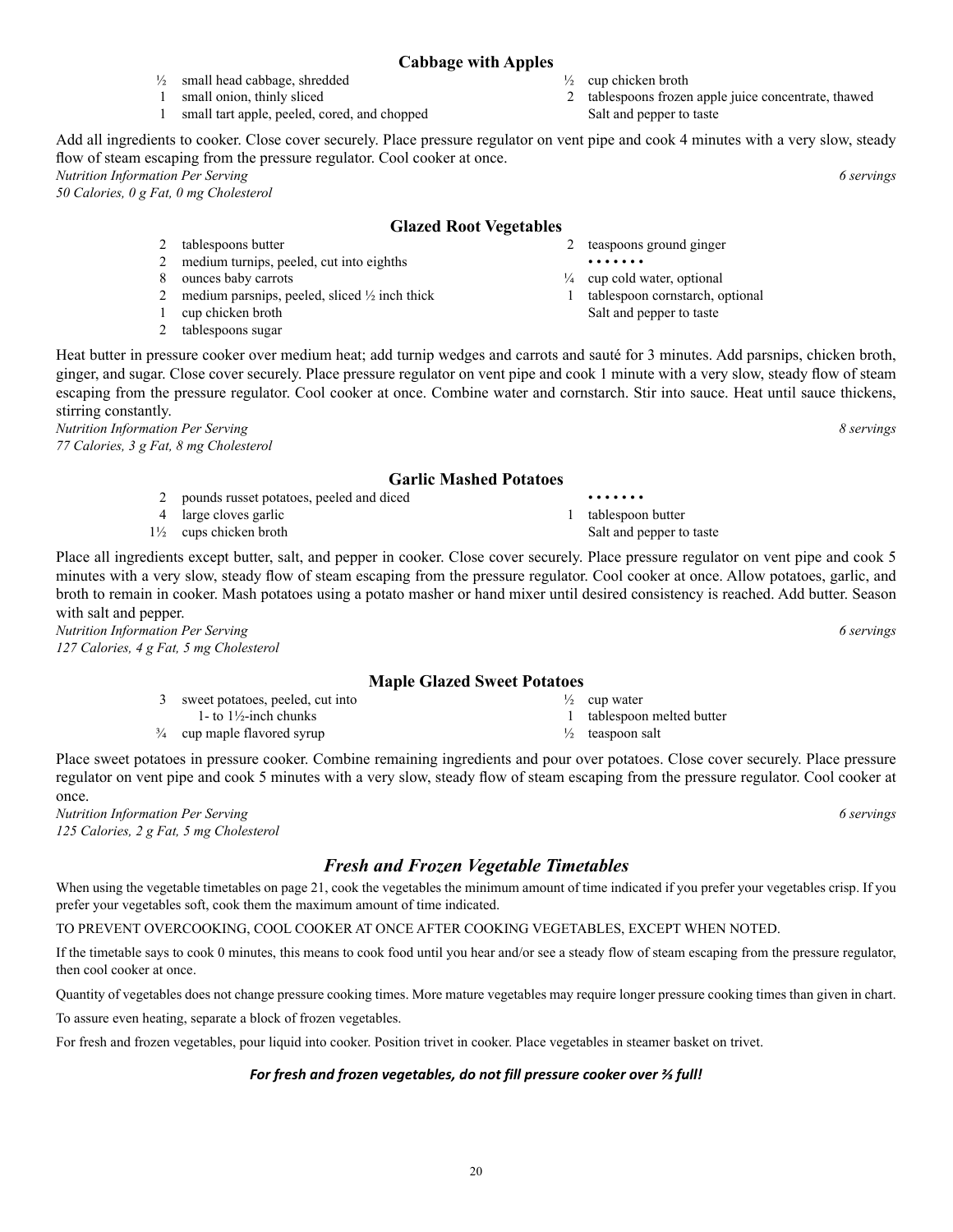#### **Cabbage with Apples**

- $\frac{1}{2}$  cup chicken broth
	- 2 tablespoons frozen apple juice concentrate, thawed Salt and pepper to taste

Add all ingredients to cooker. Close cover securely. Place pressure regulator on vent pipe and cook 4 minutes with a very slow, steady flow of steam escaping from the pressure regulator. Cool cooker at once.

*Nutrition Information Per Serving 6 servings 50 Calories, 0 g Fat, 0 mg Cholesterol*

#### **Glazed Root Vegetables**

2 tablespoons butter 2 medium turnips, peeled, cut into eighths

 $\frac{1}{2}$  small head cabbage, shredded 1 small onion, thinly sliced

- 8 ounces baby carrots
- 2 medium parsnips, peeled, sliced ½ inch thick

1 small tart apple, peeled, cored, and chopped

- 1 cup chicken broth
- 2 tablespoons sugar

Heat butter in pressure cooker over medium heat; add turnip wedges and carrots and sauté for 3 minutes. Add parsnips, chicken broth, ginger, and sugar. Close cover securely. Place pressure regulator on vent pipe and cook 1 minute with a very slow, steady flow of steam escaping from the pressure regulator. Cool cooker at once. Combine water and cornstarch. Stir into sauce. Heat until sauce thickens, stirring constantly.

*Nutrition Information Per Serving 8 servings 77 Calories, 3 g Fat, 8 mg Cholesterol*

#### **Garlic Mashed Potatoes**

- 2 pounds russet potatoes, peeled and diced
- 4 large cloves garlic 1½ cups chicken broth

Place all ingredients except butter, salt, and pepper in cooker. Close cover securely. Place pressure regulator on vent pipe and cook 5 minutes with a very slow, steady flow of steam escaping from the pressure regulator. Cool cooker at once. Allow potatoes, garlic, and broth to remain in cooker. Mash potatoes using a potato masher or hand mixer until desired consistency is reached. Add butter. Season with salt and pepper.

*Nutrition Information Per Serving 6 servings 127 Calories, 4 g Fat, 5 mg Cholesterol*

#### **Maple Glazed Sweet Potatoes**

3 sweet potatoes, peeled, cut into 1- to 1½-inch chunks

¾ cup maple flavored syrup

Place sweet potatoes in pressure cooker. Combine remaining ingredients and pour over potatoes. Close cover securely. Place pressure regulator on vent pipe and cook 5 minutes with a very slow, steady flow of steam escaping from the pressure regulator. Cool cooker at once.

*Nutrition Information Per Serving 6 servings 125 Calories, 2 g Fat, 5 mg Cholesterol*

### *Fresh and Frozen Vegetable Timetables*

When using the vegetable timetables on page 21, cook the vegetables the minimum amount of time indicated if you prefer your vegetables crisp. If you prefer your vegetables soft, cook them the maximum amount of time indicated.

TO PREVENT OVERCOOKING, COOL COOKER AT ONCE AFTER COOKING VEGETABLES, EXCEPT WHEN NOTED.

If the timetable says to cook 0 minutes, this means to cook food until you hear and/or see a steady flow of steam escaping from the pressure regulator, then cool cooker at once.

Quantity of vegetables does not change pressure cooking times. More mature vegetables may require longer pressure cooking times than given in chart.

To assure even heating, separate a block of frozen vegetables.

For fresh and frozen vegetables, pour liquid into cooker. Position trivet in cooker. Place vegetables in steamer basket on trivet.

#### *For fresh and frozen vegetables, do not fill pressure cooker over ⅔ full!*

1 tablespoon butter Salt and pepper to taste

• • • • • • •

2 teaspoons ground ginger

 $\frac{1}{4}$  cup cold water, optional 1 tablespoon cornstarch, optional Salt and pepper to taste

• • • • • • •

 $\frac{1}{2}$  cup water 1 tablespoon melted butter

- $\frac{1}{2}$  teaspoon salt
- 
- 
-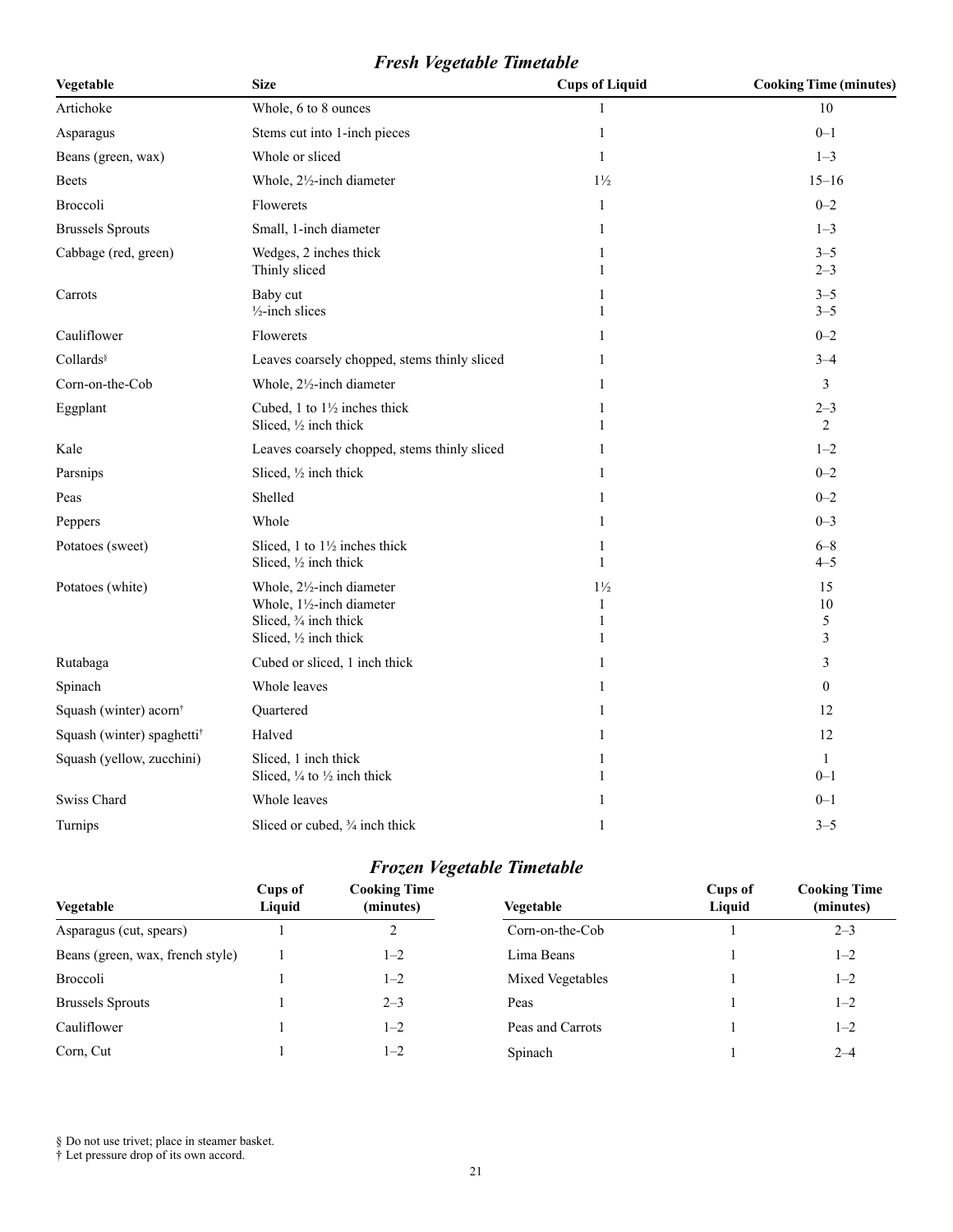### *Fresh Vegetable Timetable*

| Vegetable                              | <b>Size</b>                                                                                                | <b>Cups of Liquid</b>                    | <b>Cooking Time (minutes)</b> |
|----------------------------------------|------------------------------------------------------------------------------------------------------------|------------------------------------------|-------------------------------|
| Artichoke                              | Whole, 6 to 8 ounces                                                                                       | 1                                        | 10                            |
| Asparagus                              | Stems cut into 1-inch pieces                                                                               | $\mathbf{1}$                             | $0 - 1$                       |
| Beans (green, wax)                     | Whole or sliced                                                                                            | $\mathbf{1}$                             | $1 - 3$                       |
| <b>Beets</b>                           | Whole, 2½-inch diameter                                                                                    | $1\frac{1}{2}$                           | $15 - 16$                     |
| <b>Broccoli</b>                        | Flowerets                                                                                                  | $\mathbf{1}$                             | $0 - 2$                       |
| <b>Brussels Sprouts</b>                | Small, 1-inch diameter                                                                                     | 1                                        | $1 - 3$                       |
| Cabbage (red, green)                   | Wedges, 2 inches thick<br>Thinly sliced                                                                    | 1<br>1                                   | $3 - 5$<br>$2 - 3$            |
| Carrots                                | Baby cut<br>$\frac{1}{2}$ -inch slices                                                                     | 1<br>1                                   | $3 - 5$<br>$3 - 5$            |
| Cauliflower                            | Flowerets                                                                                                  | 1                                        | $0 - 2$                       |
| Collards                               | Leaves coarsely chopped, stems thinly sliced                                                               | 1                                        | $3 - 4$                       |
| Corn-on-the-Cob                        | Whole, 2½-inch diameter                                                                                    | 1                                        | $\mathfrak{Z}$                |
| Eggplant                               | Cubed, 1 to $1\frac{1}{2}$ inches thick<br>Sliced, 1/2 inch thick                                          | 1<br>1                                   | $2 - 3$<br>2                  |
| Kale                                   | Leaves coarsely chopped, stems thinly sliced                                                               | 1                                        | $1 - 2$                       |
| Parsnips                               | Sliced, 1/2 inch thick                                                                                     | 1                                        | $0 - 2$                       |
| Peas                                   | Shelled                                                                                                    | 1                                        | $0 - 2$                       |
| Peppers                                | Whole                                                                                                      | 1                                        | $0 - 3$                       |
| Potatoes (sweet)                       | Sliced, 1 to $1\frac{1}{2}$ inches thick<br>Sliced, 1/2 inch thick                                         | 1<br>$\mathbf{1}$                        | $6 - 8$<br>$4 - 5$            |
| Potatoes (white)                       | Whole, 21/2-inch diameter<br>Whole, 11/2-inch diameter<br>Sliced, 3/4 inch thick<br>Sliced, 1/2 inch thick | $1\frac{1}{2}$<br>$\mathbf{1}$<br>1<br>1 | 15<br>10<br>5<br>3            |
| Rutabaga                               | Cubed or sliced, 1 inch thick                                                                              | 1                                        | 3                             |
| Spinach                                | Whole leaves                                                                                               | 1                                        | $\boldsymbol{0}$              |
| Squash (winter) acorn <sup>†</sup>     | Quartered                                                                                                  | 1                                        | 12                            |
| Squash (winter) spaghetti <sup>†</sup> | Halved                                                                                                     | 1                                        | 12                            |
| Squash (yellow, zucchini)              | Sliced, 1 inch thick<br>Sliced, 1/4 to 1/2 inch thick                                                      | $\mathbf{1}$<br>1                        | $\mathbf{1}$<br>$0 - 1$       |
| Swiss Chard                            | Whole leaves                                                                                               | 1                                        | $0 - 1$                       |
| Turnips                                | Sliced or cubed, 3/4 inch thick                                                                            | 1                                        | $3 - 5$                       |

## *Frozen Vegetable Timetable*

| Vegetable                        | Cups of<br>Liquid | <b>Cooking Time</b><br>(minutes) | Vegetable         | Cups of<br>Liquid | <b>Cooking Time</b><br>(minutes) |
|----------------------------------|-------------------|----------------------------------|-------------------|-------------------|----------------------------------|
| Asparagus (cut, spears)          |                   |                                  | $Corn-on-the-Cob$ |                   | $2 - 3$                          |
| Beans (green, wax, french style) |                   | $1 - 2$                          | Lima Beans        |                   | $1 - 2$                          |
| <b>Broccoli</b>                  |                   | $1 - 2$                          | Mixed Vegetables  |                   | $1 - 2$                          |
| <b>Brussels Sprouts</b>          |                   | $2 - 3$                          | Peas              |                   | $1 - 2$                          |
| Cauliflower                      |                   | $1 - 2$                          | Peas and Carrots  |                   | $1 - 2$                          |
| Corn, Cut                        |                   | $L-2$                            | Spinach           |                   | $2 - 4$                          |

§ Do not use trivet; place in steamer basket.

† Let pressure drop of its own accord.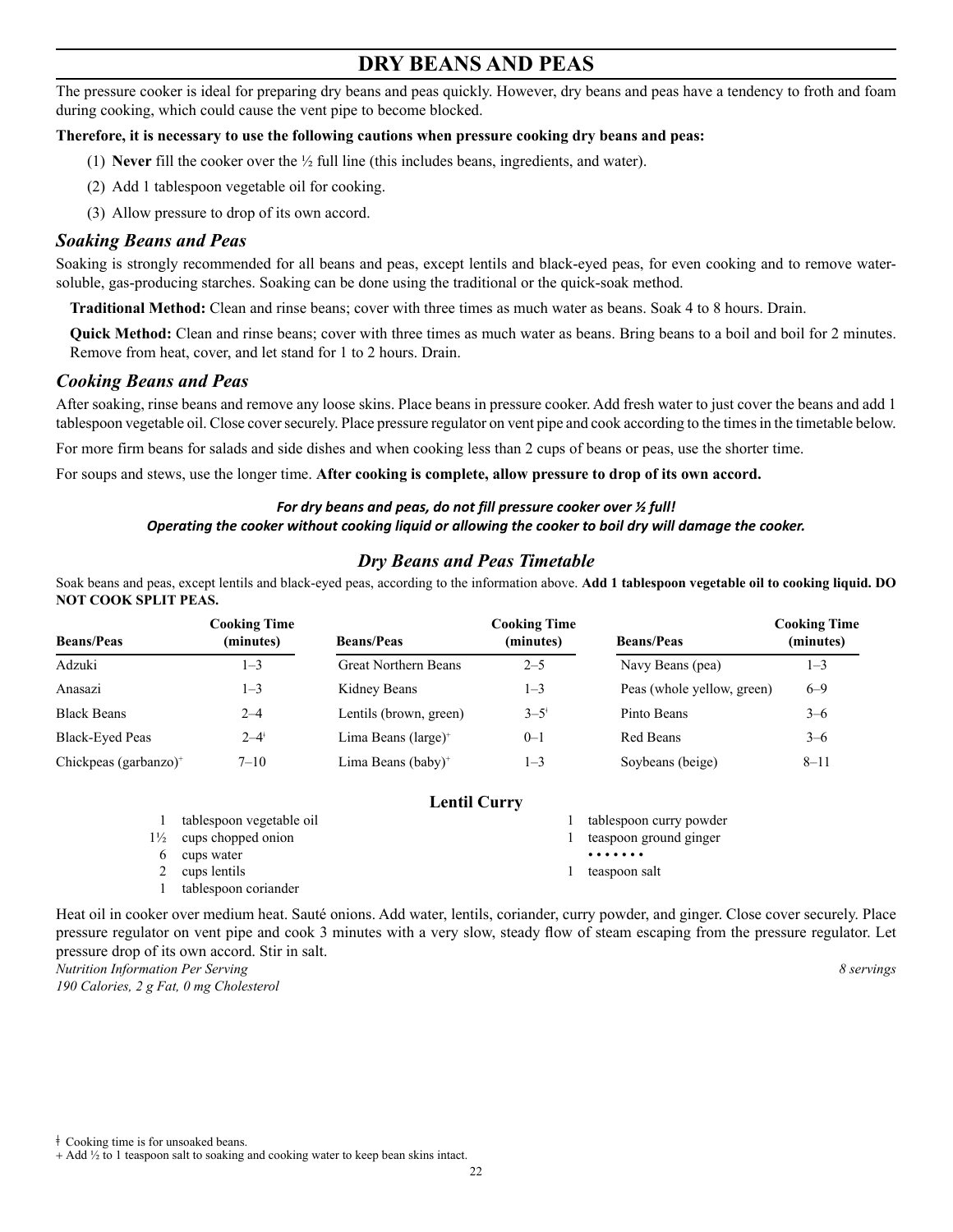### **DRY BEANS AND PEAS**

The pressure cooker is ideal for preparing dry beans and peas quickly. However, dry beans and peas have a tendency to froth and foam during cooking, which could cause the vent pipe to become blocked.

#### **Therefore, it is necessary to use the following cautions when pressure cooking dry beans and peas:**

- (1) **Never** fill the cooker over the ½ full line (this includes beans, ingredients, and water).
- (2) Add 1 tablespoon vegetable oil for cooking.
- (3) Allow pressure to drop of its own accord.

#### *Soaking Beans and Peas*

Soaking is strongly recommended for all beans and peas, except lentils and black-eyed peas, for even cooking and to remove watersoluble, gas-producing starches. Soaking can be done using the traditional or the quick-soak method.

**Traditional Method:** Clean and rinse beans; cover with three times as much water as beans. Soak 4 to 8 hours. Drain.

**Quick Method:** Clean and rinse beans; cover with three times as much water as beans. Bring beans to a boil and boil for 2 minutes. Remove from heat, cover, and let stand for 1 to 2 hours. Drain.

#### *Cooking Beans and Peas*

After soaking, rinse beans and remove any loose skins. Place beans in pressure cooker. Add fresh water to just cover the beans and add 1 tablespoon vegetable oil. Close cover securely. Place pressure regulator on vent pipe and cook according to the times in the timetable below.

For more firm beans for salads and side dishes and when cooking less than 2 cups of beans or peas, use the shorter time.

For soups and stews, use the longer time. **After cooking is complete, allow pressure to drop of its own accord.** 

#### *For dry beans and peas, do not fill pressure cooker over ½ full!*

#### *Operating the cooker without cooking liquid or allowing the cooker to boil dry will damage the cooker.*

#### *Dry Beans and Peas Timetable*

Soak beans and peas, except lentils and black-eyed peas, according to the information above. **Add 1 tablespoon vegetable oil to cooking liquid. DO NOT COOK SPLIT PEAS.** 

| <b>Beans/Peas</b>                 | Cooking Time<br>(minutes) | <b>Beans/Peas</b>              | <b>Cooking Time</b><br>(minutes) | <b>Beans/Peas</b>          | <b>Cooking Time</b><br>(minutes) |
|-----------------------------------|---------------------------|--------------------------------|----------------------------------|----------------------------|----------------------------------|
| Adzuki                            | 1–3                       | <b>Great Northern Beans</b>    | $2 - 5$                          | Navy Beans (pea)           | $1 - 3$                          |
| Anasazi                           | 1–3                       | Kidney Beans                   | 1–3                              | Peas (whole yellow, green) | $6 - 9$                          |
| <b>Black Beans</b>                | $2 - 4$                   | Lentils (brown, green)         | $3 - 5^*$                        | Pinto Beans                | $3 - 6$                          |
| Black-Eyed Peas                   | $2 - 4^{\dagger}$         | Lima Beans $(large)^+$         | $0 - 1$                          | Red Beans                  | $3 - 6$                          |
| Chickpeas (garbanzo) <sup>+</sup> | $7 - 10$                  | Lima Beans (baby) <sup>+</sup> | $1 - 3$                          | Soybeans (beige)           | $8 - 11$                         |

#### **Lentil Curry**

|                | tablespoon vegetable oil | tablespoon curry powder |
|----------------|--------------------------|-------------------------|
| $1\frac{1}{2}$ | cups chopped onion       | teaspoon ground ginger  |
| <sub>0</sub>   | cups water               | .                       |
|                | cups lentils             | teaspoon salt           |
|                | tablespoon coriander     |                         |

Heat oil in cooker over medium heat. Sauté onions. Add water, lentils, coriander, curry powder, and ginger. Close cover securely. Place pressure regulator on vent pipe and cook 3 minutes with a very slow, steady flow of steam escaping from the pressure regulator. Let pressure drop of its own accord. Stir in salt. *Nutrition Information Per Serving 8 servings* 

*190 Calories, 2 g Fat, 0 mg Cholesterol*

ǂ Cooking time is for unsoaked beans.

<sup>+</sup> Add ½ to 1 teaspoon salt to soaking and cooking water to keep bean skins intact.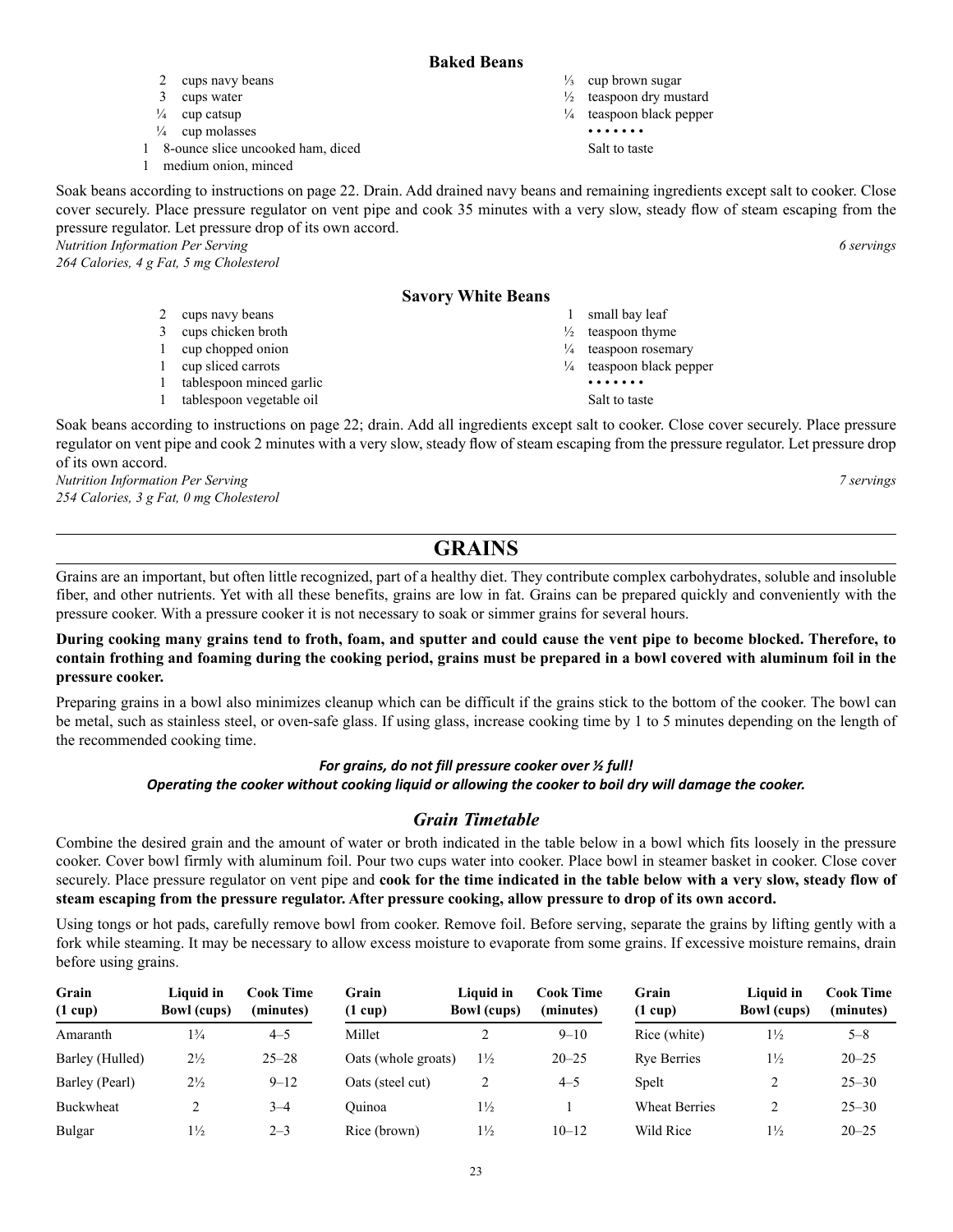#### **Baked Beans**

- $\frac{1}{3}$  cup brown sugar
- $\frac{1}{2}$  teaspoon dry mustard
- $\frac{1}{4}$  teaspoon black pepper • • • • • • •
	- Salt to taste

Soak beans according to instructions on page 22. Drain. Add drained navy beans and remaining ingredients except salt to cooker. Close cover securely. Place pressure regulator on vent pipe and cook 35 minutes with a very slow, steady flow of steam escaping from the pressure regulator. Let pressure drop of its own accord. *Nutrition Information Per Serving 6 servings* 

*264 Calories, 4 g Fat, 5 mg Cholesterol*

#### **Savory White Beans**

2 cups navy beans 3 cups chicken broth

1 8-ounce slice uncooked ham, diced

1 cup chopped onion

2 cups navy beans 3 cups water  $\frac{1}{4}$  cup catsup  $\frac{1}{4}$  cup molasses

1 medium onion, minced

- 1 cup sliced carrots
- 1 tablespoon minced garlic
- 1 tablespoon vegetable oil

Soak beans according to instructions on page 22; drain. Add all ingredients except salt to cooker. Close cover securely. Place pressure regulator on vent pipe and cook 2 minutes with a very slow, steady flow of steam escaping from the pressure regulator. Let pressure drop of its own accord.

*Nutrition Information Per Serving 7 servings 254 Calories, 3 g Fat, 0 mg Cholesterol*

## **GRAINS**

Grains are an important, but often little recognized, part of a healthy diet. They contribute complex carbohydrates, soluble and insoluble fiber, and other nutrients. Yet with all these benefits, grains are low in fat. Grains can be prepared quickly and conveniently with the pressure cooker. With a pressure cooker it is not necessary to soak or simmer grains for several hours.

#### **During cooking many grains tend to froth, foam, and sputter and could cause the vent pipe to become blocked. Therefore, to contain frothing and foaming during the cooking period, grains must be prepared in a bowl covered with aluminum foil in the pressure cooker.**

Preparing grains in a bowl also minimizes cleanup which can be difficult if the grains stick to the bottom of the cooker. The bowl can be metal, such as stainless steel, or oven-safe glass. If using glass, increase cooking time by 1 to 5 minutes depending on the length of the recommended cooking time.

#### *For grains, do not fill pressure cooker over ½ full!*

#### *Operating the cooker without cooking liquid or allowing the cooker to boil dry will damage the cooker.*

### *Grain Timetable*

Combine the desired grain and the amount of water or broth indicated in the table below in a bowl which fits loosely in the pressure cooker. Cover bowl firmly with aluminum foil. Pour two cups water into cooker. Place bowl in steamer basket in cooker. Close cover securely. Place pressure regulator on vent pipe and **cook for the time indicated in the table below with a very slow, steady flow of steam escaping from the pressure regulator. After pressure cooking, allow pressure to drop of its own accord.**

Using tongs or hot pads, carefully remove bowl from cooker. Remove foil. Before serving, separate the grains by lifting gently with a fork while steaming. It may be necessary to allow excess moisture to evaporate from some grains. If excessive moisture remains, drain before using grains.

| Grain<br>$(1 \text{ cup})$ | Liquid in<br><b>Bowl</b> (cups) | Cook Time<br>(minutes) | Grain<br>$(1 \text{ cup})$ | Liauid in<br><b>Bowl</b> (cups) | <b>Cook Time</b><br>(minutes) | Grain<br>$(1 \text{ cup})$ | Liquid in<br><b>Bowl</b> (cups) | Cook Time<br>(minutes) |
|----------------------------|---------------------------------|------------------------|----------------------------|---------------------------------|-------------------------------|----------------------------|---------------------------------|------------------------|
| Amaranth                   | $1\frac{3}{4}$                  | $4 - 5$                | Millet                     |                                 | $9 - 10$                      | Rice (white)               | $1\frac{1}{2}$                  | $5 - 8$                |
| Barley (Hulled)            | $2\frac{1}{2}$                  | $25 - 28$              | Oats (whole groats)        | $1\frac{1}{2}$                  | $20 - 25$                     | <b>Rye Berries</b>         | $1\frac{1}{2}$                  | $20 - 25$              |
| Barley (Pearl)             | $2\frac{1}{2}$                  | $9 - 12$               | Oats (steel cut)           | ∠                               | $4 - 5$                       | Spelt                      |                                 | $25 - 30$              |
| Buckwheat                  | ↑                               | $3 - 4$                | Ouinoa                     | $1\frac{1}{2}$                  |                               | <b>Wheat Berries</b>       | ↑                               | $25 - 30$              |
| <b>Bulgar</b>              | $1\frac{1}{2}$                  | $2 - 3$                | Rice (brown)               | $1\frac{1}{2}$                  | $10 - 12$                     | Wild Rice                  | $1\frac{1}{2}$                  | $20 - 25$              |

1 small bay leaf

¼ teaspoon black pepper • • • • • • • Salt to taste

 $\frac{1}{2}$  teaspoon thyme  $\frac{1}{4}$  teaspoon rosemary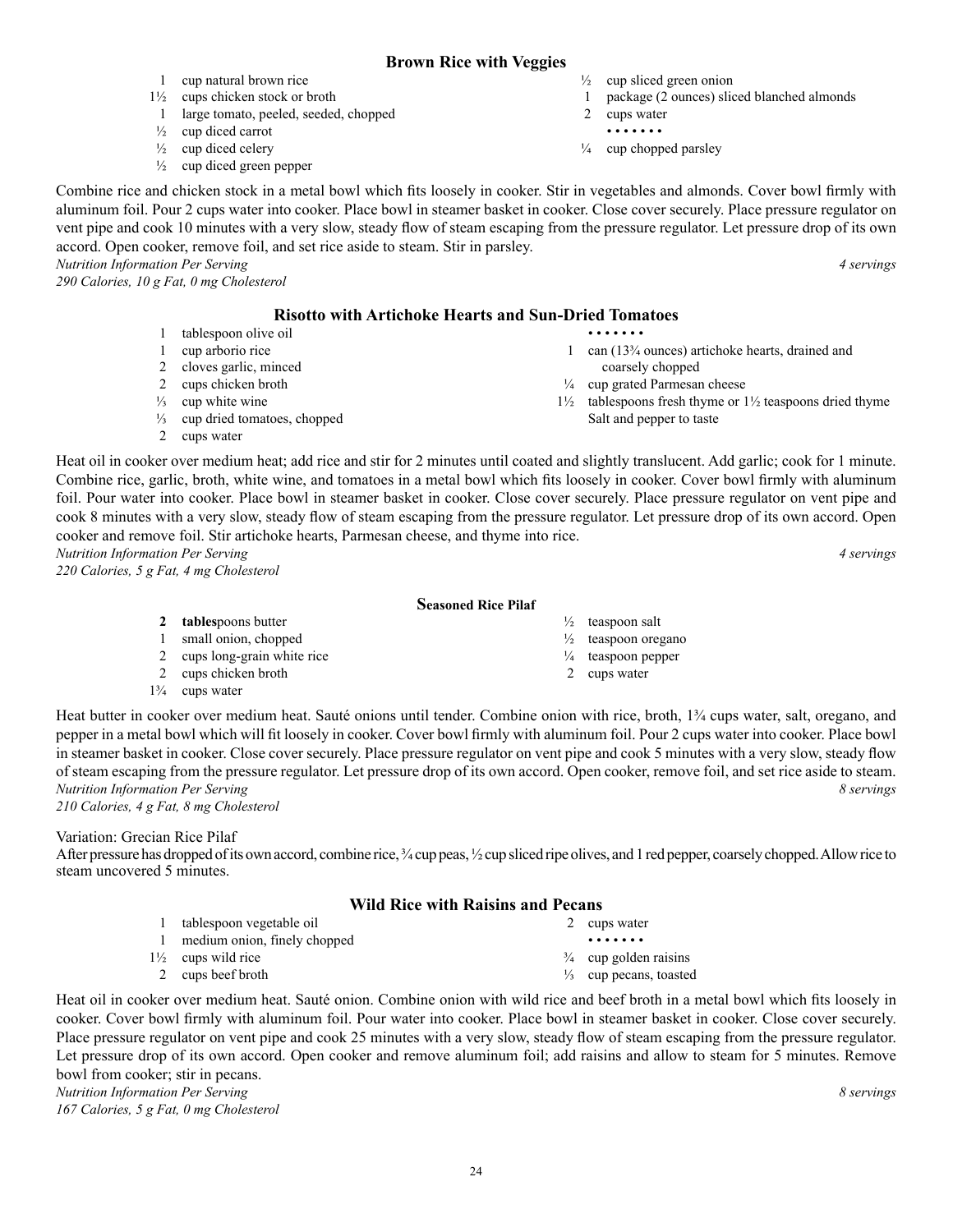### **Brown Rice with Veggies**

- 1 cup natural brown rice
- 1½ cups chicken stock or broth 1 large tomato, peeled, seeded, chopped
- $\frac{1}{2}$  cup diced carrot
- $\frac{1}{2}$  cup diced celery
- $\frac{1}{2}$  cup diced green pepper

Combine rice and chicken stock in a metal bowl which fits loosely in cooker. Stir in vegetables and almonds. Cover bowl firmly with aluminum foil. Pour 2 cups water into cooker. Place bowl in steamer basket in cooker. Close cover securely. Place pressure regulator on vent pipe and cook 10 minutes with a very slow, steady flow of steam escaping from the pressure regulator. Let pressure drop of its own accord. Open cooker, remove foil, and set rice aside to steam. Stir in parsley. *Nutrition Information Per Serving 4 servings* 

*290 Calories, 10 g Fat, 0 mg Cholesterol*

#### **Risotto with Artichoke Hearts and Sun-Dried Tomatoes**

- 1 tablespoon olive oil
- 1 cup arborio rice
- 2 cloves garlic, minced
- 2 cups chicken broth

**2 tables**poons butter 1 small onion, chopped 2 cups long-grain white rice

- $\frac{1}{3}$  cup white wine
- ⅓ cup dried tomatoes, chopped
- 2 cups water

Heat oil in cooker over medium heat; add rice and stir for 2 minutes until coated and slightly translucent. Add garlic; cook for 1 minute. Combine rice, garlic, broth, white wine, and tomatoes in a metal bowl which fits loosely in cooker. Cover bowl firmly with aluminum foil. Pour water into cooker. Place bowl in steamer basket in cooker. Close cover securely. Place pressure regulator on vent pipe and cook 8 minutes with a very slow, steady flow of steam escaping from the pressure regulator. Let pressure drop of its own accord. Open cooker and remove foil. Stir artichoke hearts, Parmesan cheese, and thyme into rice. *Nutrition Information Per Serving 4 servings* 

*220 Calories, 5 g Fat, 4 mg Cholesterol*

#### **Seasoned Rice Pilaf**

- $\frac{1}{2}$  teaspoon salt
- 
- $\frac{1}{4}$  teaspoon pepper
- 2 cups water

1¾ cups water

Heat butter in cooker over medium heat. Sauté onions until tender. Combine onion with rice, broth, 1¼ cups water, salt, oregano, and pepper in a metal bowl which will fit loosely in cooker. Cover bowl firmly with aluminum foil. Pour 2 cups water into cooker. Place bowl in steamer basket in cooker. Close cover securely. Place pressure regulator on vent pipe and cook 5 minutes with a very slow, steady flow of steam escaping from the pressure regulator. Let pressure drop of its own accord. Open cooker, remove foil, and set rice aside to steam. *Nutrition Information Per Serving 8 servings 210 Calories, 4 g Fat, 8 mg Cholesterol*

Variation: Grecian Rice Pilaf

After pressure has dropped of its own accord, combine rice,  $\frac{3}{4}$  cup peas,  $\frac{1}{2}$  cup sliced ripe olives, and 1 red pepper, coarsely chopped. Allow rice to steam uncovered 5 minutes.

#### **Wild Rice with Raisins and Pecans**

| 2 cups water                      |
|-----------------------------------|
| .                                 |
| $\frac{3}{4}$ cup golden raisins  |
| $\frac{1}{3}$ cup pecans, toasted |
|                                   |

Heat oil in cooker over medium heat. Sauté onion. Combine onion with wild rice and beef broth in a metal bowl which fits loosely in cooker. Cover bowl firmly with aluminum foil. Pour water into cooker. Place bowl in steamer basket in cooker. Close cover securely. Place pressure regulator on vent pipe and cook 25 minutes with a very slow, steady flow of steam escaping from the pressure regulator. Let pressure drop of its own accord. Open cooker and remove aluminum foil; add raisins and allow to steam for 5 minutes. Remove bowl from cooker; stir in pecans. *Nutrition Information Per Serving 8 servings* 

*167 Calories, 5 g Fat, 0 mg Cholesterol*

- $\frac{1}{2}$  cup sliced green onion 1 package (2 ounces) sliced blanched almonds
- 2 cups water
- • • • •
- $\frac{1}{4}$  cup chopped parsley

- • • • 1 can (13¾ ounces) artichoke hearts, drained and coarsely chopped ¼ cup grated Parmesan cheese
- 1½ tablespoons fresh thyme or 1½ teaspoons dried thyme Salt and pepper to taste

 $\frac{1}{2}$  teaspoon oregano

2 cups chicken broth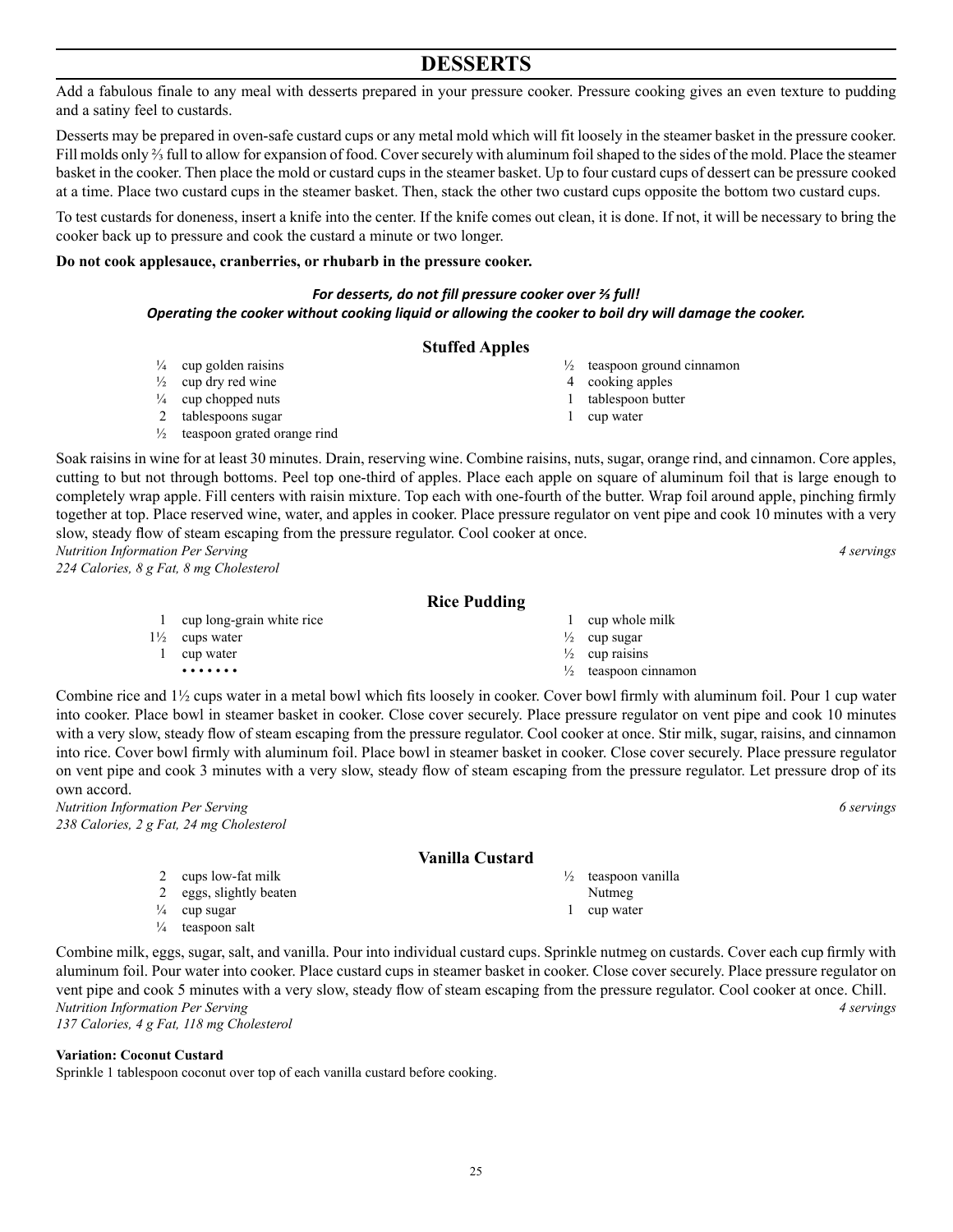### **DESSERTS**

Add a fabulous finale to any meal with desserts prepared in your pressure cooker. Pressure cooking gives an even texture to pudding and a satiny feel to custards.

Desserts may be prepared in oven-safe custard cups or any metal mold which will fit loosely in the steamer basket in the pressure cooker. Fill molds only ⅔ full to allow for expansion of food. Coversecurely with aluminum foilshaped to the sides of the mold. Place the steamer basket in the cooker. Then place the mold or custard cups in the steamer basket. Up to four custard cups of dessert can be pressure cooked at a time. Place two custard cups in the steamer basket. Then, stack the other two custard cups opposite the bottom two custard cups.

To test custards for doneness, insert a knife into the center. If the knife comes out clean, it is done. If not, it will be necessary to bring the cooker back up to pressure and cook the custard a minute or two longer.

#### **Do not cook applesauce, cranberries, or rhubarb in the pressure cooker.**

#### *For desserts, do not fill pressure cooker over ⅔ full! Operating the cooker without cooking liquid or allowing the cooker to boil dry will damage the cooker.*

#### **Stuffed Apples**

- $\frac{1}{4}$  cup golden raisins
- $\frac{1}{2}$  cup dry red wine
- $\frac{1}{4}$  cup chopped nuts
- 2 tablespoons sugar
- ½ teaspoon grated orange rind

Soak raisins in wine for at least 30 minutes. Drain, reserving wine. Combine raisins, nuts, sugar, orange rind, and cinnamon. Core apples, cutting to but not through bottoms. Peel top one-third of apples. Place each apple on square of aluminum foil that is large enough to completely wrap apple. Fill centers with raisin mixture. Top each with one-fourth of the butter. Wrap foil around apple, pinching firmly together at top. Place reserved wine, water, and apples in cooker. Place pressure regulator on vent pipe and cook 10 minutes with a very slow, steady flow of steam escaping from the pressure regulator. Cool cooker at once. *Nutrition Information Per Serving 4 servings* 

*224 Calories, 8 g Fat, 8 mg Cholesterol*

#### **Rice Pudding**

1 cup long-grain white rice 1½ cups water 1 cup water • • • • • • • 1 cup whole milk  $\frac{1}{2}$  cup sugar  $\frac{1}{2}$  cup raisins  $\frac{1}{2}$  teaspoon cinnamon

Combine rice and 1½ cups water in a metal bowl which fits loosely in cooker. Cover bowl firmly with aluminum foil. Pour 1 cup water into cooker. Place bowl in steamer basket in cooker. Close cover securely. Place pressure regulator on vent pipe and cook 10 minutes with a very slow, steady flow of steam escaping from the pressure regulator. Cool cooker at once. Stir milk, sugar, raisins, and cinnamon into rice. Cover bowl firmly with aluminum foil. Place bowl in steamer basket in cooker. Close cover securely. Place pressure regulator on vent pipe and cook 3 minutes with a very slow, steady flow of steam escaping from the pressure regulator. Let pressure drop of its own accord.

*Nutrition Information Per Serving 6 servings 238 Calories, 2 g Fat, 24 mg Cholesterol*

#### **Vanilla Custard**

- 2 cups low-fat milk
- 2 eggs, slightly beaten
- $\frac{1}{4}$  cup sugar
- $\frac{1}{4}$  teaspoon salt

Combine milk, eggs, sugar, salt, and vanilla. Pour into individual custard cups. Sprinkle nutmeg on custards. Cover each cup firmly with aluminum foil. Pour water into cooker. Place custard cups in steamer basket in cooker. Close cover securely. Place pressure regulator on vent pipe and cook 5 minutes with a very slow, steady flow of steam escaping from the pressure regulator. Cool cooker at once. Chill. *Nutrition Information Per Serving 4 servings 137 Calories, 4 g Fat, 118 mg Cholesterol*

#### **Variation: Coconut Custard**

Sprinkle 1 tablespoon coconut over top of each vanilla custard before cooking.

- 
- ½ teaspoon vanilla Nutmeg
- 1 cup water

 $\frac{1}{2}$  teaspoon ground cinnamon 4 cooking apples

- 1 tablespoon butter
- 1 cup water

- 
-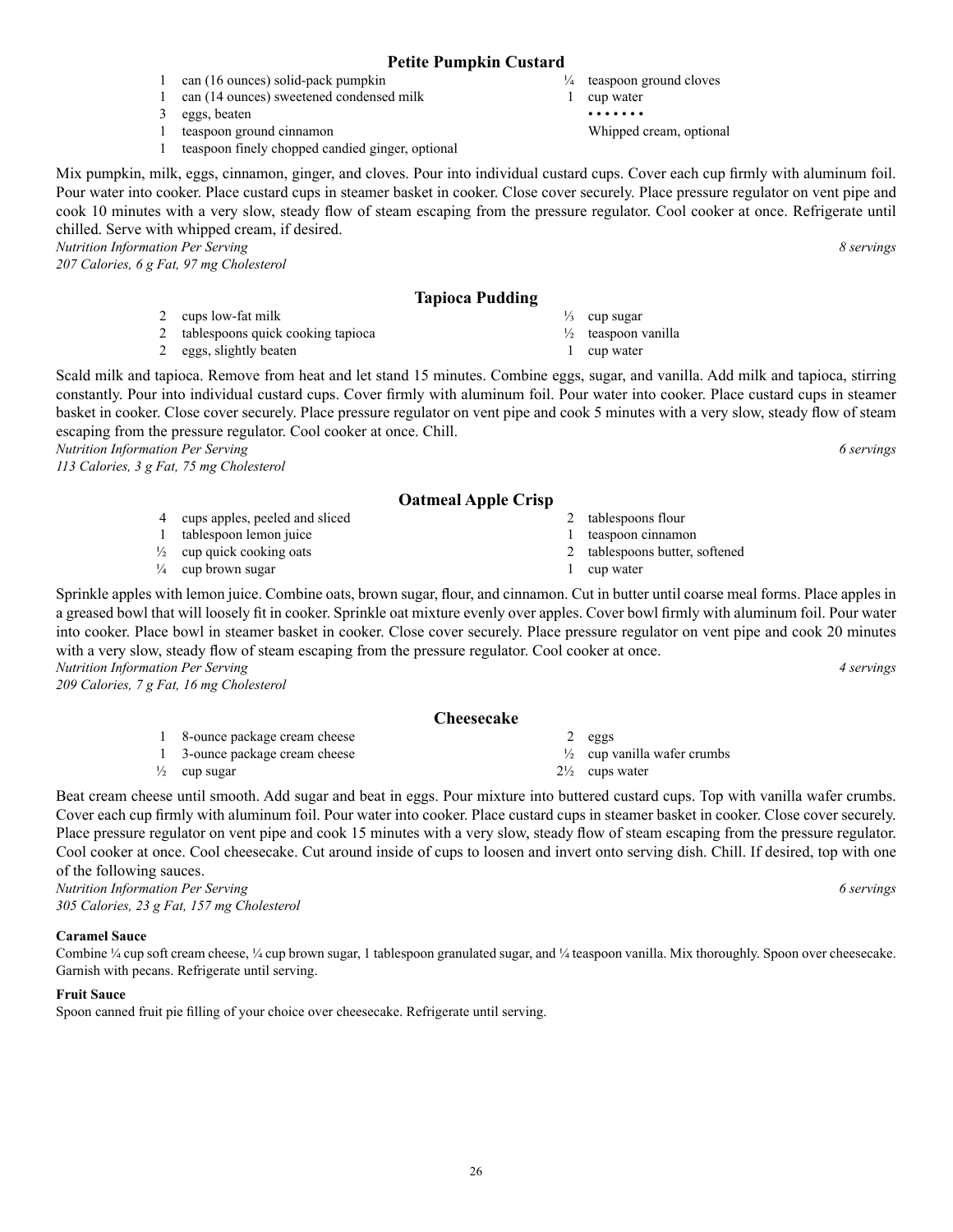#### **Petite Pumpkin Custard**

- 1 can (16 ounces) solid-pack pumpkin
- 1 can (14 ounces) sweetened condensed milk
- 3 eggs, beaten
- 1 teaspoon ground cinnamon
- 1 teaspoon finely chopped candied ginger, optional

Mix pumpkin, milk, eggs, cinnamon, ginger, and cloves. Pour into individual custard cups. Cover each cup firmly with aluminum foil. Pour water into cooker. Place custard cups in steamer basket in cooker. Close cover securely. Place pressure regulator on vent pipe and cook 10 minutes with a very slow, steady flow of steam escaping from the pressure regulator. Cool cooker at once. Refrigerate until chilled. Serve with whipped cream, if desired. *Nutrition Information Per Serving 8 servings* 

*207 Calories, 6 g Fat, 97 mg Cholesterol*

#### **Tapioca Pudding**

- 2 cups low-fat milk 2 tablespoons quick cooking tapioca
- 2 eggs, slightly beaten

4 cups apples, peeled and sliced 1 tablespoon lemon juice  $\frac{1}{2}$  cup quick cooking oats  $\frac{1}{4}$  cup brown sugar

Scald milk and tapioca. Remove from heat and let stand 15 minutes. Combine eggs, sugar, and vanilla. Add milk and tapioca, stirring constantly. Pour into individual custard cups. Cover firmly with aluminum foil. Pour water into cooker. Place custard cups in steamer basket in cooker. Close cover securely. Place pressure regulator on vent pipe and cook 5 minutes with a very slow, steady flow of steam escaping from the pressure regulator. Cool cooker at once. Chill.

*Nutrition Information Per Serving 6 servings* 

*113 Calories, 3 g Fat, 75 mg Cholesterol*

#### **Oatmeal Apple Crisp**

- 2 tablespoons flour
- 1 teaspoon cinnamon
- 2 tablespoons butter, softened
- 1 cup water
- Sprinkle apples with lemon juice. Combine oats, brown sugar, flour, and cinnamon. Cut in butter until coarse meal forms. Place apples in a greased bowl that will loosely fit in cooker. Sprinkle oat mixture evenly over apples. Cover bowl firmly with aluminum foil. Pour water into cooker. Place bowl in steamer basket in cooker. Close cover securely. Place pressure regulator on vent pipe and cook 20 minutes with a very slow, steady flow of steam escaping from the pressure regulator. Cool cooker at once. *Nutrition Information Per Serving 4 servings*

*209 Calories, 7 g Fat, 16 mg Cholesterol*

#### **Cheesecake**

1 8-ounce package cream cheese 1 3-ounce package cream cheese  $\frac{1}{2}$  cup sugar

Beat cream cheese until smooth. Add sugar and beat in eggs. Pour mixture into buttered custard cups. Top with vanilla wafer crumbs. Cover each cup firmly with aluminum foil. Pour water into cooker. Place custard cups in steamer basket in cooker. Close cover securely. Place pressure regulator on vent pipe and cook 15 minutes with a very slow, steady flow of steam escaping from the pressure regulator. Cool cooker at once. Cool cheesecake. Cut around inside of cups to loosen and invert onto serving dish. Chill. If desired, top with one of the following sauces.

*Nutrition Information Per Serving 6 servings 305 Calories, 23 g Fat, 157 mg Cholesterol*

#### **Caramel Sauce**

Combine ¼ cup soft cream cheese, ¼ cup brown sugar, 1 tablespoon granulated sugar, and ¼ teaspoon vanilla. Mix thoroughly. Spoon over cheesecake. Garnish with pecans. Refrigerate until serving.

#### **Fruit Sauce**

Spoon canned fruit pie filling of your choice over cheesecake. Refrigerate until serving.

- ¼ teaspoon ground cloves
- 1 cup water

 $\frac{1}{3}$  cup sugar ½ teaspoon vanilla 1 cup water

• • • • • • • Whipped cream, optional

- 2 eggs  $\frac{1}{2}$  cup vanilla wafer crumbs
- 2½ cups water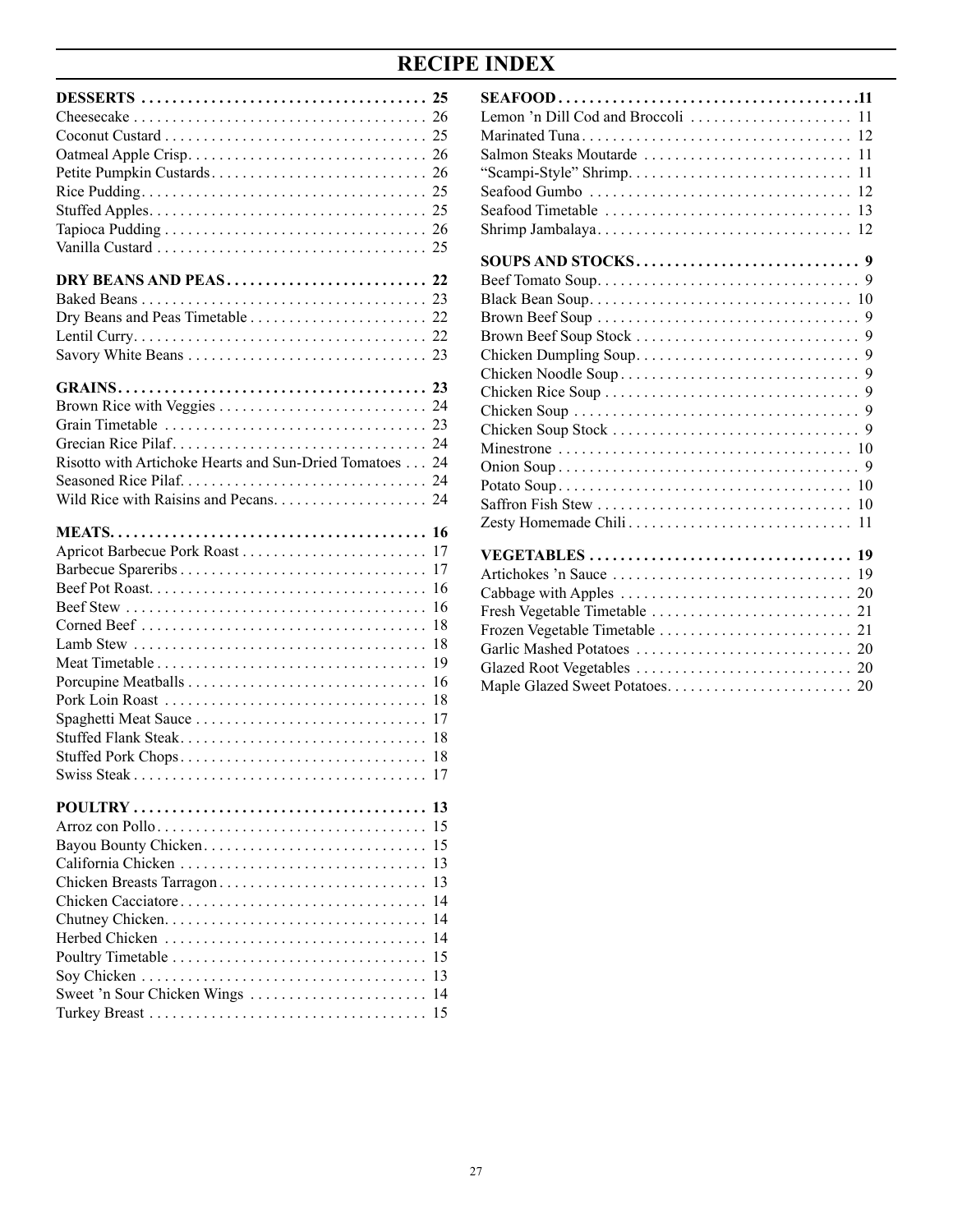## **RECIPE INDEX**

| Risotto with Artichoke Hearts and Sun-Dried Tomatoes 24                       |                                                                             |
|-------------------------------------------------------------------------------|-----------------------------------------------------------------------------|
| Spaghetti Meat Sauce<br>Stuffed Flank Steak<br>Stuffed Pork Chops             | 17<br>17<br>16<br>16<br>18<br>18<br>19<br>16<br>18<br>17<br>18<br>-18<br>17 |
| Chicken Breasts Tarragon<br>Chicken Cacciatore<br>Sweet 'n Sour Chicken Wings | 13<br>15<br>15<br>13<br>13<br>14<br>14<br>14<br>15<br>13<br>14<br>15        |

| -12                        |
|----------------------------|
|                            |
|                            |
| Seafood Gumbo<br>-12       |
|                            |
| 12                         |
|                            |
|                            |
|                            |
|                            |
|                            |
|                            |
|                            |
|                            |
|                            |
|                            |
|                            |
|                            |
|                            |
|                            |
|                            |
|                            |
| Artichokes 'n Sauce<br>-19 |
|                            |
|                            |
|                            |
|                            |
|                            |
|                            |
|                            |